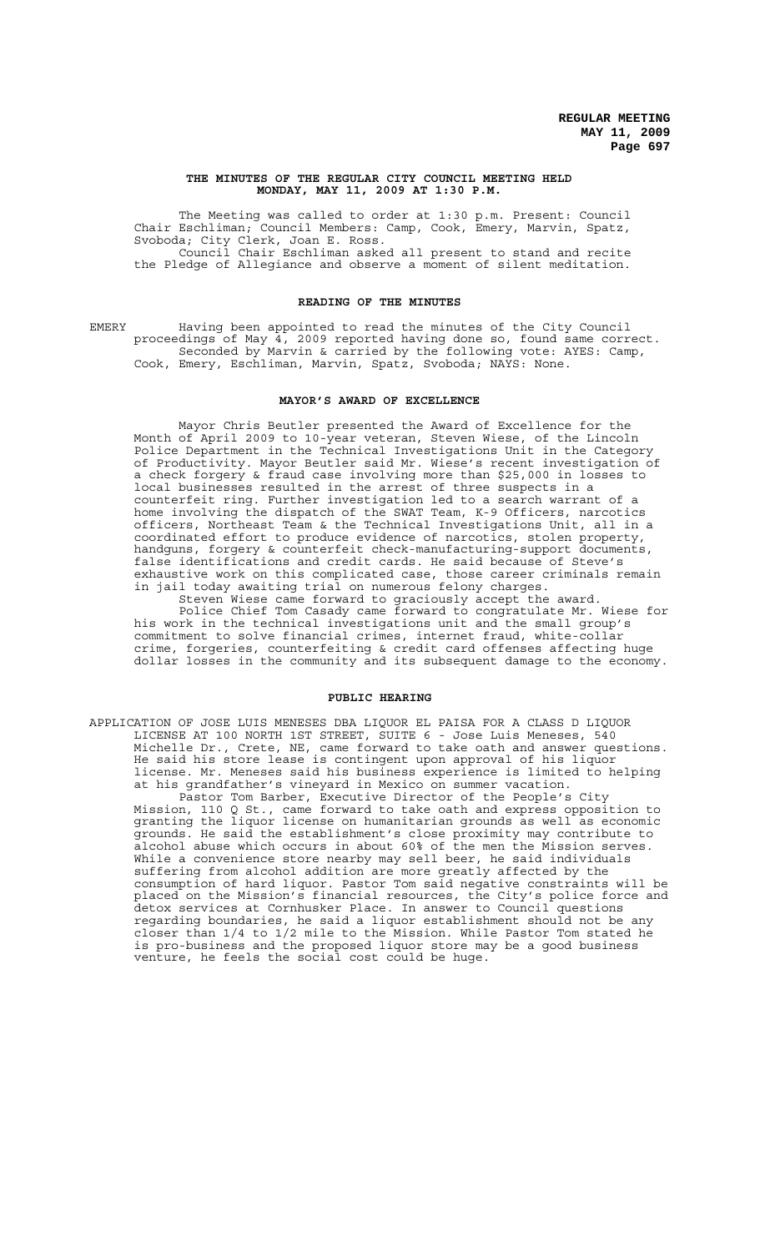#### **THE MINUTES OF THE REGULAR CITY COUNCIL MEETING HELD MONDAY, MAY 11, 2009 AT 1:30 P.M.**

The Meeting was called to order at 1:30 p.m. Present: Council Chair Eschliman; Council Members: Camp, Cook, Emery, Marvin, Spatz, Svoboda; City Clerk, Joan E. Ross. Council Chair Eschliman asked all present to stand and recite the Pledge of Allegiance and observe a moment of silent meditation.

## **READING OF THE MINUTES**

EMERY Having been appointed to read the minutes of the City Council proceedings of May 4, 2009 reported having done so, found same correct. Seconded by Marvin & carried by the following vote: AYES: Camp, Cook, Emery, Eschliman, Marvin, Spatz, Svoboda; NAYS: None.

#### **MAYOR'S AWARD OF EXCELLENCE**

Mayor Chris Beutler presented the Award of Excellence for the Month of April 2009 to 10-year veteran, Steven Wiese, of the Lincoln Police Department in the Technical Investigations Unit in the Category of Productivity. Mayor Beutler said Mr. Wiese's recent investigation of a check forgery & fraud case involving more than \$25,000 in losses to local businesses resulted in the arrest of three suspects in a counterfeit ring. Further investigation led to a search warrant of a home involving the dispatch of the SWAT Team, K-9 Officers, narcotics officers, Northeast Team & the Technical Investigations Unit, all in a coordinated effort to produce evidence of narcotics, stolen property,<br>handquns, forgery & counterfeit check-manufacturing-support documents, handguns, forgery & counterfeit check-manufacturing-support documents, false identifications and credit cards. He said because of Steve's exhaustive work on this complicated case, those career criminals remain in jail today awaiting trial on numerous felony charges.

Steven Wiese came forward to graciously accept the award. Police Chief Tom Casady came forward to congratulate Mr. Wiese for his work in the technical investigations unit and the small group's commitment to solve financial crimes, internet fraud, white-collar crime, forgeries, counterfeiting & credit card offenses affecting huge dollar losses in the community and its subsequent damage to the economy.

#### **PUBLIC HEARING**

APPLICATION OF JOSE LUIS MENESES DBA LIQUOR EL PAISA FOR A CLASS D LIQUOR LICENSE AT 100 NORTH 1ST STREET, SUITE 6 - Jose Luis Meneses, 540 Michelle Dr., Crete, NE, came forward to take oath and answer questions. He said his store lease is contingent upon approval of his liquor license. Mr. Meneses said his business experience is limited to helping at his grandfather's vineyard in Mexico on summer vacation.

Pastor Tom Barber, Executive Director of the People's City Mission, 110 Q St., came forward to take oath and express opposition to granting the liquor license on humanitarian grounds as well as economic grounds. He said the establishment's close proximity may contribute to alcohol abuse which occurs in about 60% of the men the Mission serves. While a convenience store nearby may sell beer, he said individuals suffering from alcohol addition are more greatly affected by the consumption of hard liquor. Pastor Tom said negative constraints will be placed on the Mission's financial resources, the City's police force and detox services at Cornhusker Place. In answer to Council questions regarding boundaries, he said a liquor establishment should not be any closer than 1/4 to 1/2 mile to the Mission. While Pastor Tom stated he is pro-business and the proposed liquor store may be a good business venture, he feels the social cost could be huge.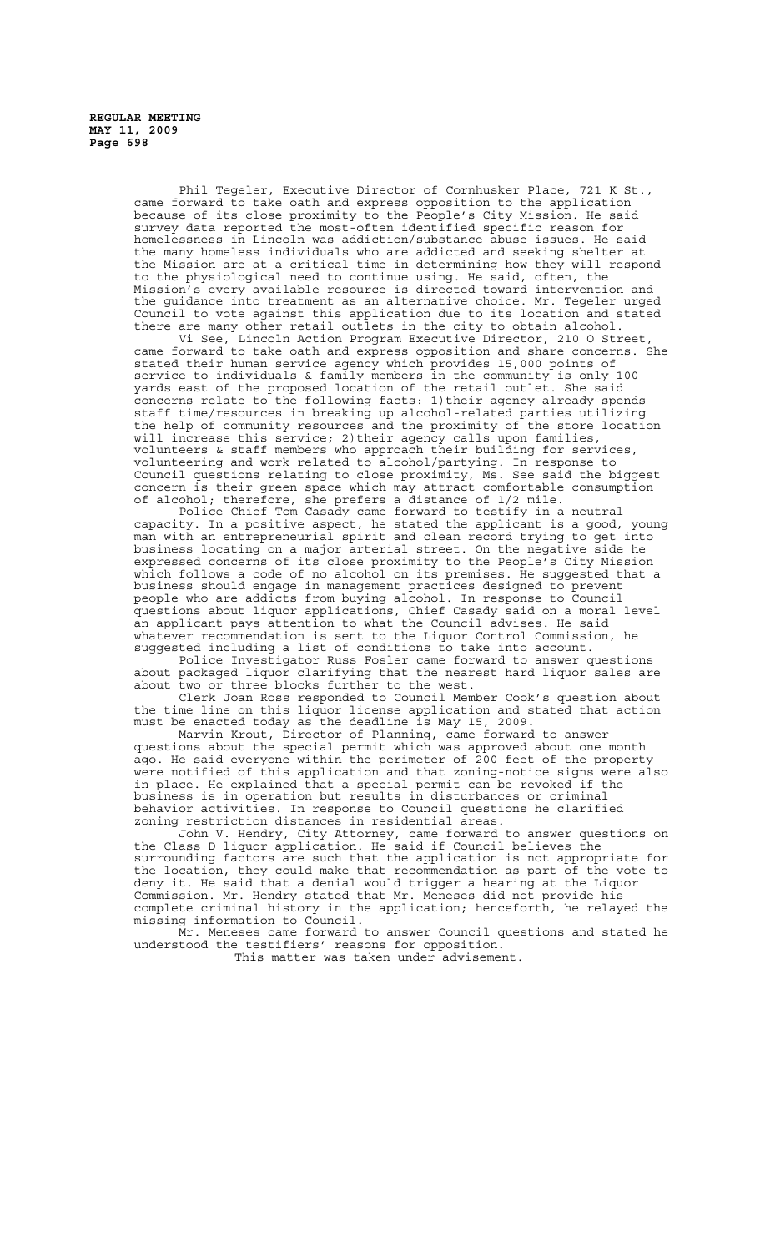Phil Tegeler, Executive Director of Cornhusker Place, 721 K St., came forward to take oath and express opposition to the application because of its close proximity to the People's City Mission. He said survey data reported the most-often identified specific reason for homelessness in Lincoln was addiction/substance abuse issues. He said the many homeless individuals who are addicted and seeking shelter at the Mission are at a critical time in determining how they will respond to the physiological need to continue using. He said, often, the Mission's every available resource is directed toward intervention and the guidance into treatment as an alternative choice. Mr. Tegeler urged Council to vote against this application due to its location and stated there are many other retail outlets in the city to obtain alcohol.

Vi See, Lincoln Action Program Executive Director, 210 O Street, came forward to take oath and express opposition and share concerns. She stated their human service agency which provides 15,000 points of service to individuals & family members in the community is only 100 yards east of the proposed location of the retail outlet. She said concerns relate to the following facts: 1)their agency already spends staff time/resources in breaking up alcohol-related parties utilizing the help of community resources and the proximity of the store location will increase this service; 2) their agency calls upon families, volunteers & staff members who approach their building for services, volunteering and work related to alcohol/partying. In response to Council questions relating to close proximity, Ms. See said the biggest concern is their green space which may attract comfortable consumption of alcohol; therefore, she prefers a distance of 1/2 mile.

Police Chief Tom Casady came forward to testify in a neutral capacity. In a positive aspect, he stated the applicant is a good, young man with an entrepreneurial spirit and clean record trying to get into business locating on a major arterial street. On the negative side he expressed concerns of its close proximity to the People's City Mission which follows a code of no alcohol on its premises. He suggested that a business should engage in management practices designed to prevent people who are addicts from buying alcohol. In response to Council questions about liquor applications, Chief Casady said on a moral level an applicant pays attention to what the Council advises. He said whatever recommendation is sent to the Liquor Control Commission, he suggested including a list of conditions to take into account.

Police Investigator Russ Fosler came forward to answer questions about packaged liquor clarifying that the nearest hard liquor sales are about two or three blocks further to the west.

Clerk Joan Ross responded to Council Member Cook's question about the time line on this liquor license application and stated that action must be enacted today as the deadline is May 15, 2009.

Marvin Krout, Director of Planning, came forward to answer questions about the special permit which was approved about one month ago. He said everyone within the perimeter of 200 feet of the property were notified of this application and that zoning-notice signs were also in place. He explained that a special permit can be revoked if the business is in operation but results in disturbances or criminal behavior activities. In response to Council questions he clarified zoning restriction distances in residential areas.

John V. Hendry, City Attorney, came forward to answer questions on the Class D liquor application. He said if Council believes the surrounding factors are such that the application is not appropriate for the location, they could make that recommendation as part of the vote to deny it. He said that a denial would trigger a hearing at the Liquor Commission. Mr. Hendry stated that Mr. Meneses did not provide his complete criminal history in the application; henceforth, he relayed the missing information to Council.

Mr. Meneses came forward to answer Council questions and stated he understood the testifiers' reasons for opposition.

This matter was taken under advisement.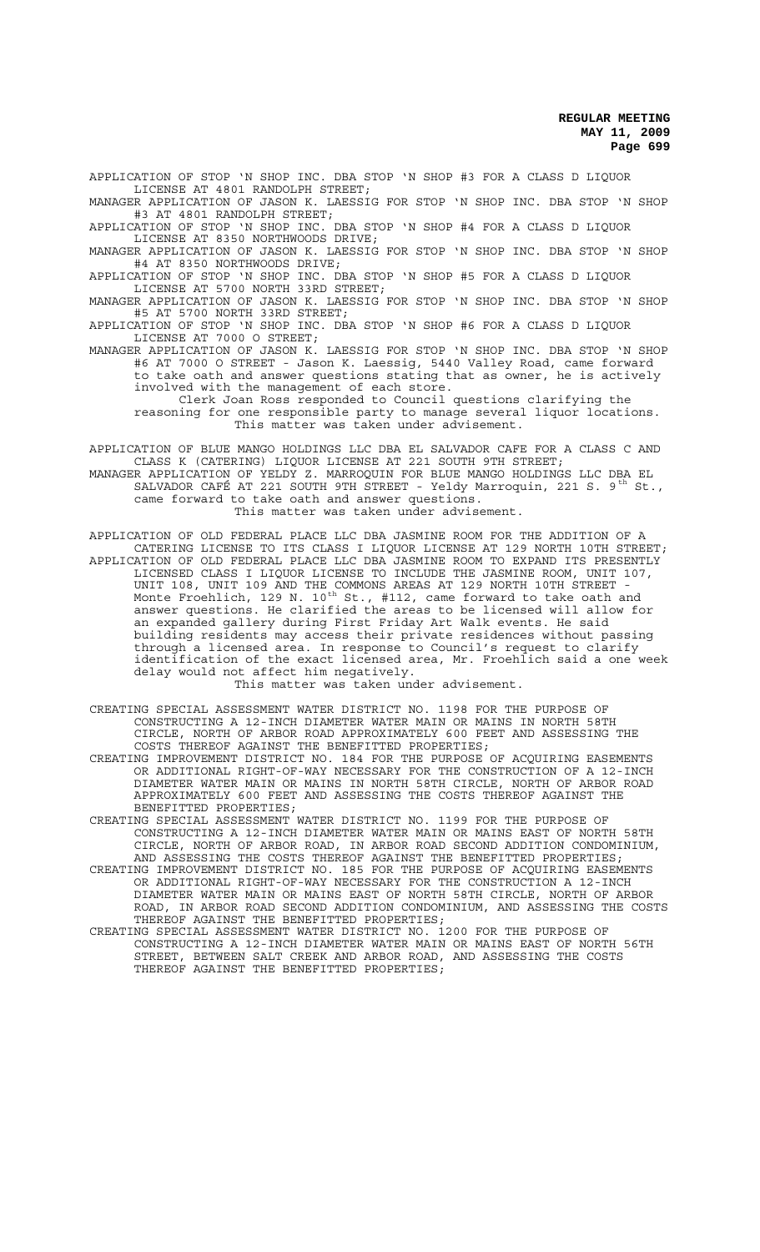APPLICATION OF STOP 'N SHOP INC. DBA STOP 'N SHOP #3 FOR A CLASS D LIQUOR LICENSE AT 4801 RANDOLPH STREET;

MANAGER APPLICATION OF JASON K. LAESSIG FOR STOP 'N SHOP INC. DBA STOP 'N SHOP #3 AT 4801 RANDOLPH STREET; APPLICATION OF STOP 'N SHOP INC. DBA STOP 'N SHOP #4 FOR A CLASS D LIQUOR

LICENSE AT 8350 NORTHWOODS DRIVE; MANAGER APPLICATION OF JASON K. LAESSIG FOR STOP 'N SHOP INC. DBA STOP 'N SHOP

#4 AT 8350 NORTHWOODS DRIVE;

APPLICATION OF STOP 'N SHOP INC. DBA STOP 'N SHOP #5 FOR A CLASS D LIQUOR LICENSE AT 5700 NORTH 33RD STREET;

MANAGER APPLICATION OF JASON K. LAESSIG FOR STOP 'N SHOP INC. DBA STOP 'N SHOP #5 AT 5700 NORTH 33RD STREET;

APPLICATION OF STOP 'N SHOP INC. DBA STOP 'N SHOP #6 FOR A CLASS D LIQUOR LICENSE AT 7000 O STREET;

MANAGER APPLICATION OF JASON K. LAESSIG FOR STOP 'N SHOP INC. DBA STOP 'N SHOP #6 AT 7000 O STREET - Jason K. Laessig, 5440 Valley Road, came forward to take oath and answer questions stating that as owner, he is actively involved with the management of each store.

Clerk Joan Ross responded to Council questions clarifying the reasoning for one responsible party to manage several liquor locations. This matter was taken under advisement.

APPLICATION OF BLUE MANGO HOLDINGS LLC DBA EL SALVADOR CAFE FOR A CLASS C AND CLASS K (CATERING) LIQUOR LICENSE AT 221 SOUTH 9TH STREET; MANAGER APPLICATION OF YELDY Z. MARROQUIN FOR BLUE MANGO HOLDINGS LLC DBA EL SALVADOR CAFÉ AT 221 SOUTH 9TH STREET - Yeldy Marroquin, 221 S. 9<sup>th</sup> St., came forward to take oath and answer questions. This matter was taken under advisement.

APPLICATION OF OLD FEDERAL PLACE LLC DBA JASMINE ROOM FOR THE ADDITION OF A CATERING LICENSE TO ITS CLASS I LIQUOR LICENSE AT 129 NORTH 10TH STREET; APPLICATION OF OLD FEDERAL PLACE LLC DBA JASMINE ROOM TO EXPAND ITS PRESENTLY LICENSED CLASS I LIQUOR LICENSE TO INCLUDE THE JASMINE ROOM, UNIT 107, UNIT 108, UNIT 109 AND THE COMMONS AREAS AT 129 NORTH 10TH STREET - Monte Froehlich, 129 N. 10 $^{\text{th}}$  St., #112, came forward to take oath and answer questions. He clarified the areas to be licensed will allow for an expanded gallery during First Friday Art Walk events. He said building residents may access their private residences without passing through a licensed area. In response to Council's request to clarify identification of the exact licensed area, Mr. Froehlich said a one week delay would not affect him negatively.

This matter was taken under advisement.

CREATING SPECIAL ASSESSMENT WATER DISTRICT NO. 1198 FOR THE PURPOSE OF CONSTRUCTING A 12-INCH DIAMETER WATER MAIN OR MAINS IN NORTH 58TH CIRCLE, NORTH OF ARBOR ROAD APPROXIMATELY 600 FEET AND ASSESSING THE COSTS THEREOF AGAINST THE BENEFITTED PROPERTIES;

CREATING IMPROVEMENT DISTRICT NO. 184 FOR THE PURPOSE OF ACQUIRING EASEMENTS OR ADDITIONAL RIGHT-OF-WAY NECESSARY FOR THE CONSTRUCTION OF A 12-INCH DIAMETER WATER MAIN OR MAINS IN NORTH 58TH CIRCLE, NORTH OF ARBOR ROAD APPROXIMATELY 600 FEET AND ASSESSING THE COSTS THEREOF AGAINST THE BENEFITTED PROPERTIES;

CREATING SPECIAL ASSESSMENT WATER DISTRICT NO. 1199 FOR THE PURPOSE OF CONSTRUCTING A 12-INCH DIAMETER WATER MAIN OR MAINS EAST OF NORTH 58TH CIRCLE, NORTH OF ARBOR ROAD, IN ARBOR ROAD SECOND ADDITION CONDOMINIUM, AND ASSESSING THE COSTS THEREOF AGAINST THE BENEFITTED PROPERTIES;

CREATING IMPROVEMENT DISTRICT NO. 185 FOR THE PURPOSE OF ACQUIRING EASEMENTS OR ADDITIONAL RIGHT-OF-WAY NECESSARY FOR THE CONSTRUCTION A 12-INCH DIAMETER WATER MAIN OR MAINS EAST OF NORTH 58TH CIRCLE, NORTH OF ARBOR ROAD, IN ARBOR ROAD SECOND ADDITION CONDOMINIUM, AND ASSESSING THE COSTS THEREOF AGAINST THE BENEFITTED PROPERTIES;

CREATING SPECIAL ASSESSMENT WATER DISTRICT NO. 1200 FOR THE PURPOSE OF CONSTRUCTING A 12-INCH DIAMETER WATER MAIN OR MAINS EAST OF NORTH 56TH STREET, BETWEEN SALT CREEK AND ARBOR ROAD, AND ASSESSING THE COSTS THEREOF AGAINST THE BENEFITTED PROPERTIES;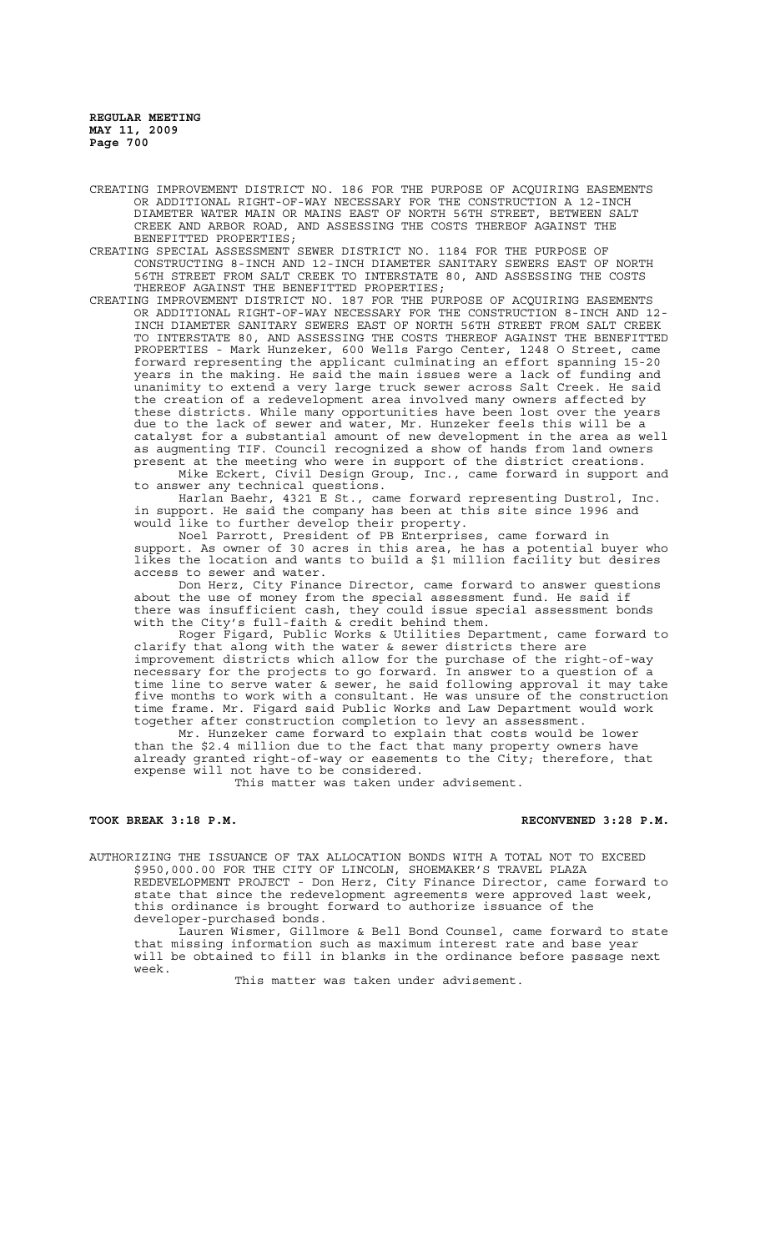- CREATING IMPROVEMENT DISTRICT NO. 186 FOR THE PURPOSE OF ACQUIRING EASEMENTS OR ADDITIONAL RIGHT-OF-WAY NECESSARY FOR THE CONSTRUCTION A 12-INCH DIAMETER WATER MAIN OR MAINS EAST OF NORTH 56TH STREET, BETWEEN SALT CREEK AND ARBOR ROAD, AND ASSESSING THE COSTS THEREOF AGAINST THE BENEFITTED PROPERTIES;
- CREATING SPECIAL ASSESSMENT SEWER DISTRICT NO. 1184 FOR THE PURPOSE OF CONSTRUCTING 8-INCH AND 12-INCH DIAMETER SANITARY SEWERS EAST OF NORTH 56TH STREET FROM SALT CREEK TO INTERSTATE 80, AND ASSESSING THE COSTS THEREOF AGAINST THE BENEFITTED PROPERTIES;
- CREATING IMPROVEMENT DISTRICT NO. 187 FOR THE PURPOSE OF ACQUIRING EASEMENTS OR ADDITIONAL RIGHT-OF-WAY NECESSARY FOR THE CONSTRUCTION 8-INCH AND 12- INCH DIAMETER SANITARY SEWERS EAST OF NORTH 56TH STREET FROM SALT CREEK TO INTERSTATE 80, AND ASSESSING THE COSTS THEREOF AGAINST THE BENEFITTED PROPERTIES - Mark Hunzeker, 600 Wells Fargo Center, 1248 O Street, came forward representing the applicant culminating an effort spanning 15-20 years in the making. He said the main issues were a lack of funding and .<br>unanimity to extend a very large truck sewer across Salt Creek. He said the creation of a redevelopment area involved many owners affected by these districts. While many opportunities have been lost over the years due to the lack of sewer and water, Mr. Hunzeker feels this will be a catalyst for a substantial amount of new development in the area as well as augmenting TIF. Council recognized a show of hands from land owners present at the meeting who were in support of the district creations.

Mike Eckert, Civil Design Group, Inc., came forward in support and to answer any technical questions.

Harlan Baehr, 4321 E St., came forward representing Dustrol, Inc. in support. He said the company has been at this site since 1996 and would like to further develop their property.

Noel Parrott, President of PB Enterprises, came forward in support. As owner of 30 acres in this area, he has a potential buyer who likes the location and wants to build a \$1 million facility but desires access to sewer and water.

Don Herz, City Finance Director, came forward to answer questions about the use of money from the special assessment fund. He said if there was insufficient cash, they could issue special assessment bonds with the City's full-faith & credit behind them.

Roger Figard, Public Works & Utilities Department, came forward to clarify that along with the water & sewer districts there are improvement districts which allow for the purchase of the right-of-way necessary for the projects to go forward. In answer to a question of a time line to serve water & sewer, he said following approval it may take five months to work with a consultant. He was unsure of the construction time frame. Mr. Figard said Public Works and Law Department would work together after construction completion to levy an assessment.

Mr. Hunzeker came forward to explain that costs would be lower than the \$2.4 million due to the fact that many property owners have already granted right-of-way or easements to the City; therefore, that expense will not have to be considered.

This matter was taken under advisement.

# TOOK BREAK 3:18 P.M. **RECONVENED 3:28 P.M.**

AUTHORIZING THE ISSUANCE OF TAX ALLOCATION BONDS WITH A TOTAL NOT TO EXCEED \$950,000.00 FOR THE CITY OF LINCOLN, SHOEMAKER'S TRAVEL PLAZA REDEVELOPMENT PROJECT - Don Herz, City Finance Director, came forward to state that since the redevelopment agreements were approved last week, this ordinance is brought forward to authorize issuance of the developer-purchased bonds.

Lauren Wismer, Gillmore & Bell Bond Counsel, came forward to state that missing information such as maximum interest rate and base year will be obtained to fill in blanks in the ordinance before passage next week.

This matter was taken under advisement.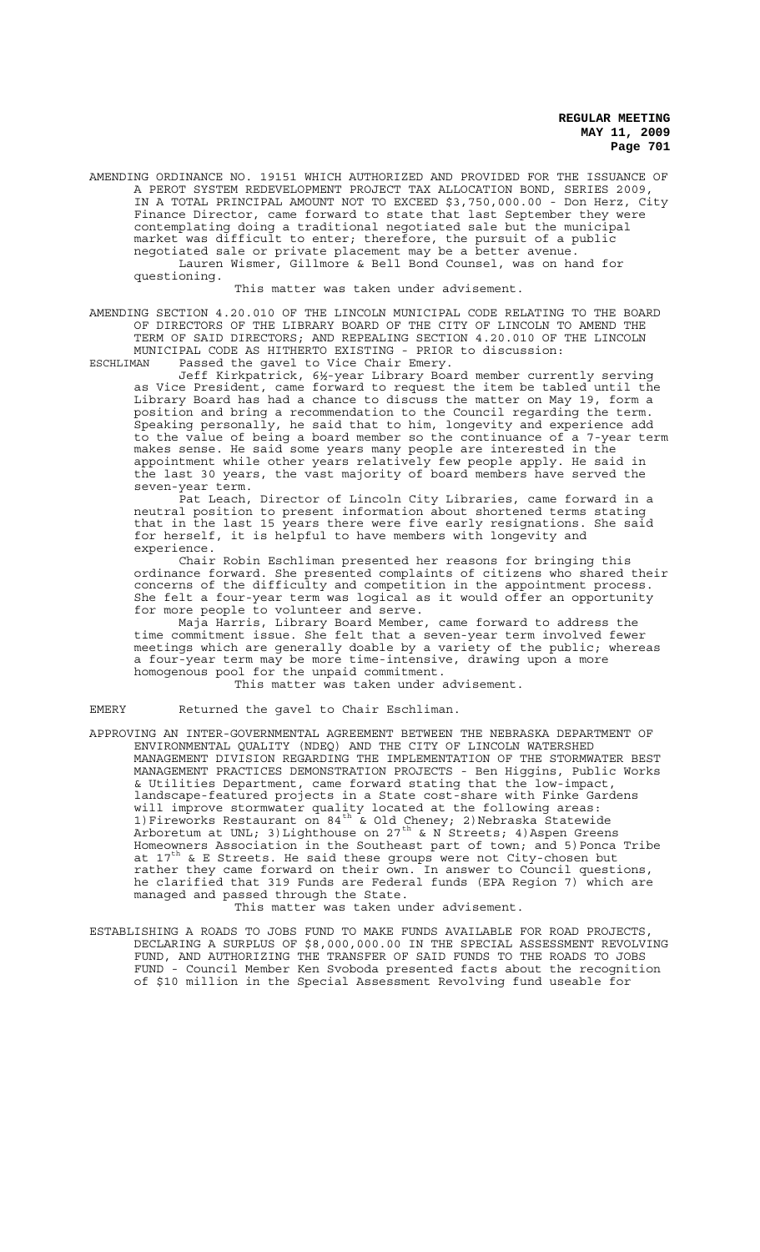AMENDING ORDINANCE NO. 19151 WHICH AUTHORIZED AND PROVIDED FOR THE ISSUANCE OF A PEROT SYSTEM REDEVELOPMENT PROJECT TAX ALLOCATION BOND, SERIES 2009, IN A TOTAL PRINCIPAL AMOUNT NOT TO EXCEED \$3,750,000.00 - Don Herz, City Finance Director, came forward to state that last September they were contemplating doing a traditional negotiated sale but the municipal market was difficult to enter; therefore, the pursuit of a public negotiated sale or private placement may be a better avenue. Lauren Wismer, Gillmore & Bell Bond Counsel, was on hand for questioning.

This matter was taken under advisement.

AMENDING SECTION 4.20.010 OF THE LINCOLN MUNICIPAL CODE RELATING TO THE BOARD OF DIRECTORS OF THE LIBRARY BOARD OF THE CITY OF LINCOLN TO AMEND THE TERM OF SAID DIRECTORS; AND REPEALING SECTION 4.20.010 OF THE LINCOLN

MUNICIPAL CODE AS HITHERTO EXISTING - PRIOR to discussion: ESCHLIMAN Passed the gavel to Vice Chair Emery.

Jeff Kirkpatrick, 6½-year Library Board member currently serving as Vice President, came forward to request the item be tabled until the Library Board has had a chance to discuss the matter on May 19, form a position and bring a recommendation to the Council regarding the term. Speaking personally, he said that to him, longevity and experience add to the value of being a board member so the continuance of a 7-year term makes sense. He said some years many people are interested in the appointment while other years relatively few people apply. He said in the last 30 years, the vast majority of board members have served the seven-year term.

Pat Leach, Director of Lincoln City Libraries, came forward in a neutral position to present information about shortened terms stating that in the last 15 years there were five early resignations. She said for herself, it is helpful to have members with longevity and experience.

Chair Robin Eschliman presented her reasons for bringing this ordinance forward. She presented complaints of citizens who shared their concerns of the difficulty and competition in the appointment process. She felt a four-year term was logical as it would offer an opportunity for more people to volunteer and serve.

Maja Harris, Library Board Member, came forward to address the time commitment issue. She felt that a seven-year term involved fewer meetings which are generally doable by a variety of the public; whereas a four-year term may be more time-intensive, drawing upon a more homogenous pool for the unpaid commitment.

This matter was taken under advisement.

EMERY Returned the gavel to Chair Eschliman.

APPROVING AN INTER-GOVERNMENTAL AGREEMENT BETWEEN THE NEBRASKA DEPARTMENT OF ENVIRONMENTAL QUALITY (NDEQ) AND THE CITY OF LINCOLN WATERSHED MANAGEMENT DIVISION REGARDING THE IMPLEMENTATION OF THE STORMWATER BEST MANAGEMENT PRACTICES DEMONSTRATION PROJECTS - Ben Higgins, Public Works<br>& Utilities Department, came forward stating that the low-impact, & Utilities Department, came forward stating that the landscape-featured projects in a State cost-share with Finke Gardens will improve stormwater quality located at the following areas: 1)Fireworks Restaurant on 84<sup>th</sup> & Old Cheney; 2)Nebraska Statewide Arboretum at UNL; 3)Lighthouse on 27<sup>th</sup> & N Streets; 4)Aspen Greens Homeowners Association in the Southeast part of town; and 5)Ponca Tribe at 17th & E Streets. He said these groups were not City-chosen but rather they came forward on their own. In answer to Council questions, he clarified that 319 Funds are Federal funds (EPA Region 7) which are managed and passed through the State. This matter was taken under advisement.

ESTABLISHING A ROADS TO JOBS FUND TO MAKE FUNDS AVAILABLE FOR ROAD PROJECTS, DECLARING A SURPLUS OF \$8,000,000.00 IN THE SPECIAL ASSESSMENT REVOLVING FUND, AND AUTHORIZING THE TRANSFER OF SAID FUNDS TO THE ROADS TO JOBS FUND - Council Member Ken Svoboda presented facts about the recognition of \$10 million in the Special Assessment Revolving fund useable for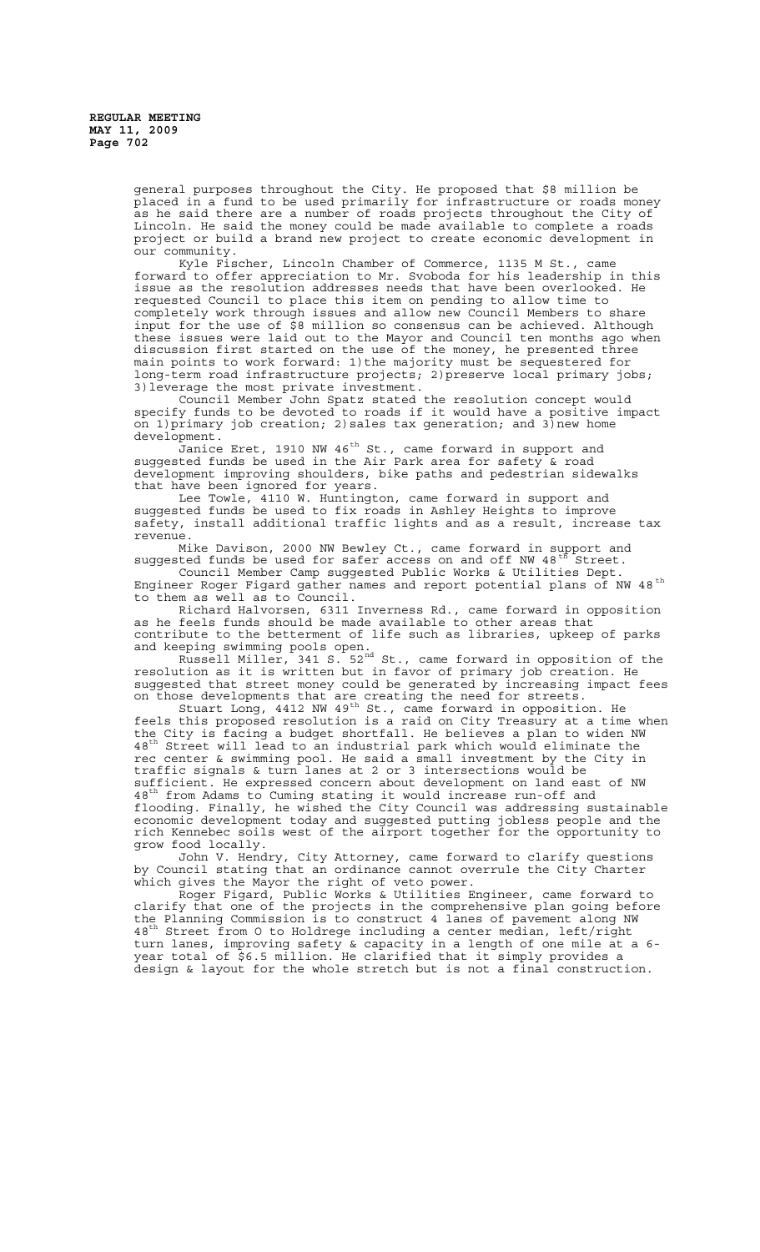general purposes throughout the City. He proposed that \$8 million be placed in a fund to be used primarily for infrastructure or roads money as he said there are a number of roads projects throughout the City of Lincoln. He said the money could be made available to complete a roads project or build a brand new project to create economic development in our community.

Kyle Fischer, Lincoln Chamber of Commerce, 1135 M St., came forward to offer appreciation to Mr. Svoboda for his leadership in this issue as the resolution addresses needs that have been overlooked. He requested Council to place this item on pending to allow time to completely work through issues and allow new Council Members to share input for the use of \$8 million so consensus can be achieved. Although these issues were laid out to the Mayor and Council ten months ago when discussion first started on the use of the money, he presented three main points to work forward: 1)the majority must be sequestered for long-term road infrastructure projects; 2) preserve local primary jobs; 3)leverage the most private investment.

Council Member John Spatz stated the resolution concept would specify funds to be devoted to roads if it would have a positive impact on 1) primary job creation; 2) sales tax generation; and 3) new home development.

.<br>Janice Eret, 1910 NW 46<sup>th</sup> St., came forward in support and suggested funds be used in the Air Park area for safety & road development improving shoulders, bike paths and pedestrian sidewalks that have been ignored for years.

Lee Towle, 4110 W. Huntington, came forward in support and suggested funds be used to fix roads in Ashley Heights to improve safety, install additional traffic lights and as a result, increase tax revenue.

Mike Davison, 2000 NW Bewley Ct., came forward in support and suggested funds be used for safer access on and off NW 48<sup>th Street.</sup>

Council Member Camp suggested Public Works & Utilities Dept. Engineer Roger Figard gather names and report potential plans of NW 48<sup>th</sup> to them as well as to Council.

Richard Halvorsen, 6311 Inverness Rd., came forward in opposition as he feels funds should be made available to other areas that contribute to the betterment of life such as libraries, upkeep of parks and keeping swimming pools open.

Russell Miller, 341 S. 52nd St., came forward in opposition of the resolution as it is written but in favor of primary job creation. He suggested that street money could be generated by increasing impact fees on those developments that are creating the need for streets.

Stuart Long, 4412 NW 49<sup>th</sup> St., came forward in opposition. He feels this proposed resolution is a raid on City Treasury at a time when the City is facing a budget shortfall. He believes a plan to widen NW 48<sup>th</sup> Street will lead to an industrial park which would eliminate the rec center & swimming pool. He said a small investment by the City in traffic signals & turn lanes at 2 or 3 intersections would be sufficient. He expressed concern about development on land east of NW 48<sup>th</sup> from Adams to Cuming stating it would increase run-off and flooding. Finally, he wished the City Council was addressing sustainable economic development today and suggested putting jobless people and the rich Kennebec soils west of the airport together for the opportunity to grow food locally.

John V. Hendry, City Attorney, came forward to clarify questions by Council stating that an ordinance cannot overrule the City Charter which gives the Mayor the right of veto power.

Roger Figard, Public Works & Utilities Engineer, came forward to clarify that one of the projects in the comprehensive plan going before the Planning Commission is to construct 4 lanes of pavement along NW 48<sup>th</sup> Street from O to Holdrege including a center median, left/right turn lanes, improving safety & capacity in a length of one mile at a 6 year total of \$6.5 million. He clarified that it simply provides a design & layout for the whole stretch but is not a final construction.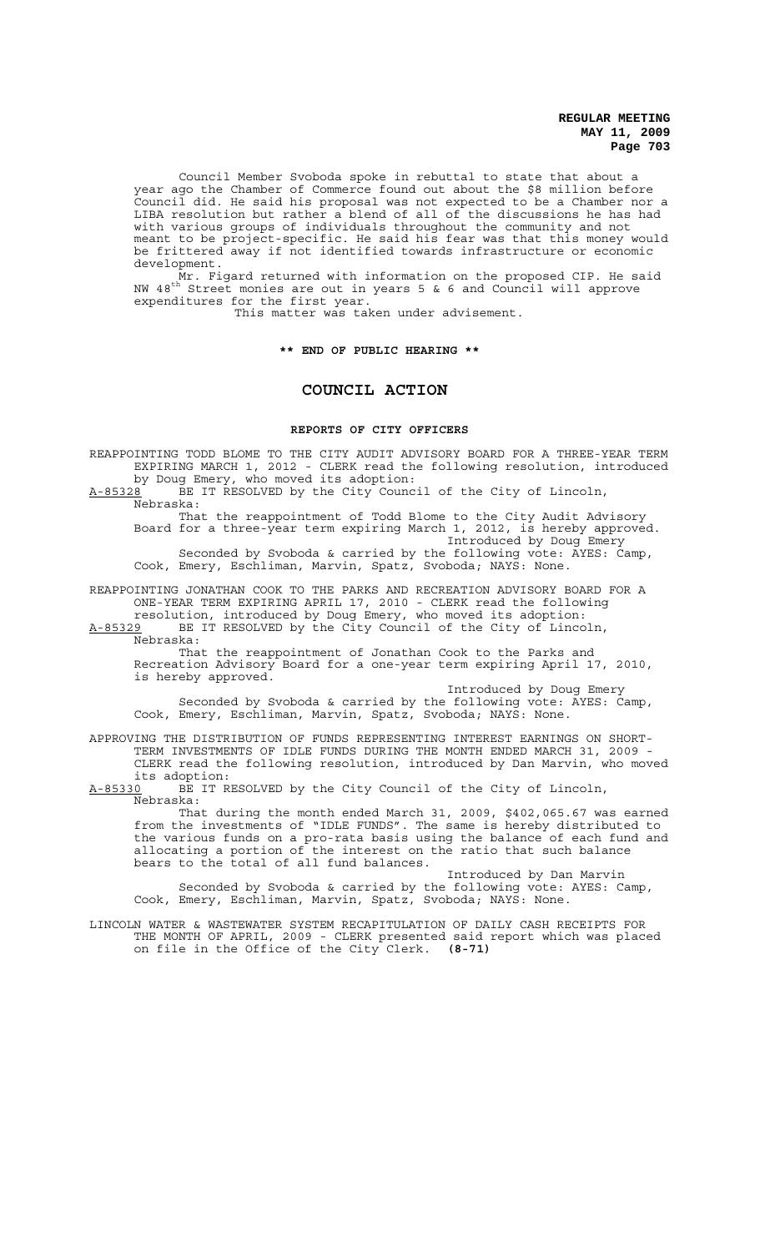Council Member Svoboda spoke in rebuttal to state that about a year ago the Chamber of Commerce found out about the \$8 million before Council did. He said his proposal was not expected to be a Chamber nor a LIBA resolution but rather a blend of all of the discussions he has had with various groups of individuals throughout the community and not meant to be project-specific. He said his fear was that this money would be frittered away if not identified towards infrastructure or economic development.

Mr. Figard returned with information on the proposed CIP. He said NW 48th Street monies are out in years 5 & 6 and Council will approve expenditures for the first year.

This matter was taken under advisement.

**\*\* END OF PUBLIC HEARING \*\***

## **COUNCIL ACTION**

#### **REPORTS OF CITY OFFICERS**

REAPPOINTING TODD BLOME TO THE CITY AUDIT ADVISORY BOARD FOR A THREE-YEAR TERM EXPIRING MARCH 1, 2012 - CLERK read the following resolution, introduced by Doug Emery, who moved its adoption:

A-85328 BE IT RESOLVED by the City Council of the City of Lincoln, Nebraska:

That the reappointment of Todd Blome to the City Audit Advisory Board for a three-year term expiring March 1, 2012, is hereby approved. Introduced by Doug Emery Seconded by Svoboda & carried by the following vote: AYES: Camp,

Cook, Emery, Eschliman, Marvin, Spatz, Svoboda; NAYS: None.

REAPPOINTING JONATHAN COOK TO THE PARKS AND RECREATION ADVISORY BOARD FOR A ONE-YEAR TERM EXPIRING APRIL 17, 2010 - CLERK read the following resolution, introduced by Doug Emery, who moved its adoption:

A-85329 BE IT RESOLVED by the City Council of the City of Lincoln,

Nebraska:

That the reappointment of Jonathan Cook to the Parks and Recreation Advisory Board for a one-year term expiring April 17, 2010, is hereby approved.

Introduced by Doug Emery Seconded by Svoboda & carried by the following vote: AYES: Camp, Cook, Emery, Eschliman, Marvin, Spatz, Svoboda; NAYS: None.

APPROVING THE DISTRIBUTION OF FUNDS REPRESENTING INTEREST EARNINGS ON SHORT-TERM INVESTMENTS OF IDLE FUNDS DURING THE MONTH ENDED MARCH 31, 2009 - CLERK read the following resolution, introduced by Dan Marvin, who moved its adoption:

A-85330 BE IT RESOLVED by the City Council of the City of Lincoln, Nebraska:

That during the month ended March 31, 2009, \$402,065.67 was earned from the investments of "IDLE FUNDS". The same is hereby distributed to the various funds on a pro-rata basis using the balance of each fund and allocating a portion of the interest on the ratio that such balance allocating a portion of the interest on bears to the total of all fund balances.

Introduced by Dan Marvin Seconded by Svoboda & carried by the following vote: AYES: Camp, Cook, Emery, Eschliman, Marvin, Spatz, Svoboda; NAYS: None.

LINCOLN WATER & WASTEWATER SYSTEM RECAPITULATION OF DAILY CASH RECEIPTS FOR THE MONTH OF APRIL, 2009 - CLERK presented said report which was placed on file in the Office of the City Clerk. **(8-71)**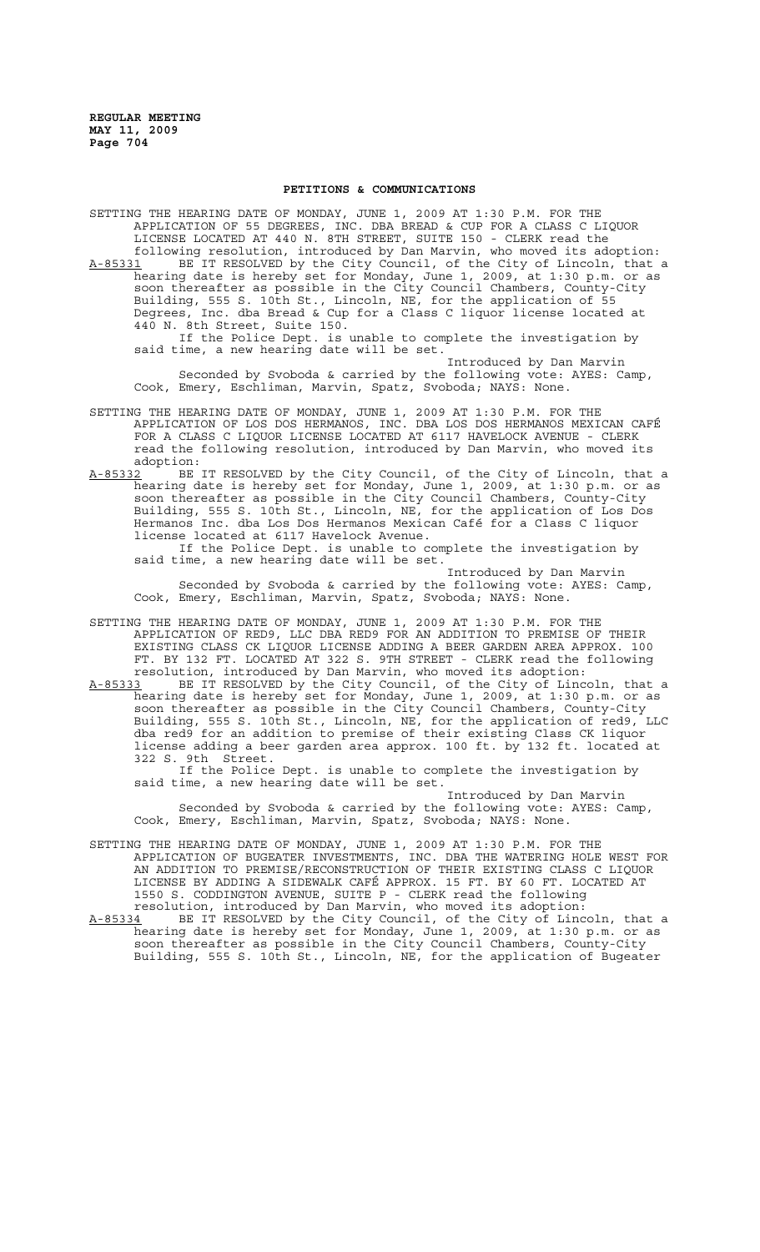#### **PETITIONS & COMMUNICATIONS**

SETTING THE HEARING DATE OF MONDAY, JUNE 1, 2009 AT 1:30 P.M. FOR THE APPLICATION OF 55 DEGREES, INC. DBA BREAD & CUP FOR A CLASS C LIQUOR LICENSE LOCATED AT 440 N. 8TH STREET, SUITE 150 - CLERK read the following resolution, introduced by Dan Marvin, who moved its adoption: A-85331 BE IT RESOLVED by the City Council, of the City of Lincoln, that a hearing date is hereby set for Monday, June 1, 2009, at 1:30 p.m. or as soon thereafter as possible in the City Council Chambers, County-City Building, 555 S. 10th St., Lincoln, NE, for the application of 55 Degrees, Inc. dba Bread & Cup for a Class C liquor license located at 440 N. 8th Street, Suite 150. If the Police Dept. is unable to complete the investigation by said time, a new hearing date will be set.

Introduced by Dan Marvin Seconded by Svoboda & carried by the following vote: AYES: Camp, Cook, Emery, Eschliman, Marvin, Spatz, Svoboda; NAYS: None.

- SETTING THE HEARING DATE OF MONDAY, JUNE 1, 2009 AT 1:30 P.M. FOR THE APPLICATION OF LOS DOS HERMANOS, INC. DBA LOS DOS HERMANOS MEXICAN CAFÉ FOR A CLASS C LIQUOR LICENSE LOCATED AT 6117 HAVELOCK AVENUE - CLERK read the following resolution, introduced by Dan Marvin, who moved its adoption:
- A-85332 BE IT RESOLVED by the City Council, of the City of Lincoln, that a hearing date is hereby set for Monday, June 1, 2009, at 1:30 p.m. or as soon thereafter as possible in the City Council Chambers, County-City Building, 555 S. 10th St., Lincoln, NE, for the application of Los Dos Hermanos Inc. dba Los Dos Hermanos Mexican Café for a Class C liquor license located at 6117 Havelock Avenue.

If the Police Dept. is unable to complete the investigation by said time, a new hearing date will be set.

Introduced by Dan Marvin Seconded by Svoboda & carried by the following vote: AYES: Camp, Cook, Emery, Eschliman, Marvin, Spatz, Svoboda; NAYS: None.

- SETTING THE HEARING DATE OF MONDAY, JUNE 1, 2009 AT 1:30 P.M. FOR THE APPLICATION OF RED9, LLC DBA RED9 FOR AN ADDITION TO PREMISE OF THEIR EXISTING CLASS CK LIQUOR LICENSE ADDING A BEER GARDEN AREA APPROX. 100 FT. BY 132 FT. LOCATED AT 322 S. 9TH STREET - CLERK read the following resolution, introduced by Dan Marvin, who moved its adoption:
- A-85333 BE IT RESOLVED by the City Council, of the City of Lincoln, that a hearing date is hereby set for Monday, June 1, 2009, at 1:30 p.m. or as soon thereafter as possible in the City Council Chambers, County-City Building, 555 S. 10th St., Lincoln, NE, for the application of red9, LLC dba red9 for an addition to premise of their existing Class CK liquor license adding a beer garden area approx. 100 ft. by 132 ft. located at 322 S. 9th Street.

If the Police Dept. is unable to complete the investigation by said time, a new hearing date will be set.

Introduced by Dan Marvin Seconded by Svoboda & carried by the following vote: AYES: Camp, Cook, Emery, Eschliman, Marvin, Spatz, Svoboda; NAYS: None.

- SETTING THE HEARING DATE OF MONDAY, JUNE 1, 2009 AT 1:30 P.M. FOR THE APPLICATION OF BUGEATER INVESTMENTS, INC. DBA THE WATERING HOLE WEST FOR AN ADDITION TO PREMISE/RECONSTRUCTION OF THEIR EXISTING CLASS C LIQUOR LICENSE BY ADDING A SIDEWALK CAFÉ APPROX. 15 FT. BY 60 FT. LOCATED AT 1550 S. CODDINGTON AVENUE, SUITE P - CLERK read the following resolution, introduced by Dan Marvin, who moved its adoption:
- A-85334 BE IT RESOLVED by the City Council, of the City of Lincoln, that a hearing date is hereby set for Monday, June 1, 2009, at 1:30 p.m. or as soon thereafter as possible in the City Council Chambers, County-City Building, 555 S. 10th St., Lincoln, NE, for the application of Bugeater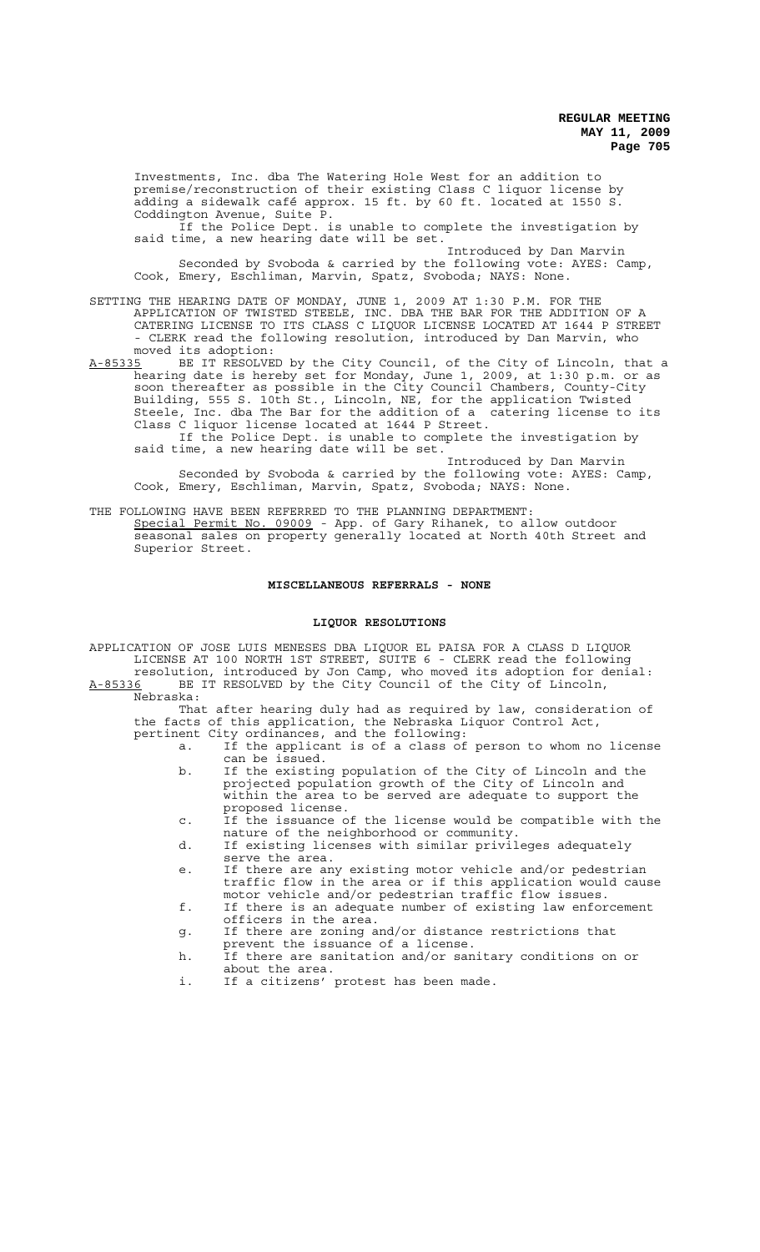Investments, Inc. dba The Watering Hole West for an addition to premise/reconstruction of their existing Class C liquor license by adding a sidewalk café approx. 15 ft. by 60 ft. located at 1550 S. Coddington Avenue, Suite P.

If the Police Dept. is unable to complete the investigation by said time, a new hearing date will be set.

Introduced by Dan Marvin Seconded by Svoboda & carried by the following vote: AYES: Camp, Cook, Emery, Eschliman, Marvin, Spatz, Svoboda; NAYS: None.

- SETTING THE HEARING DATE OF MONDAY, JUNE 1, 2009 AT 1:30 P.M. FOR THE APPLICATION OF TWISTED STEELE, INC. DBA THE BAR FOR THE ADDITION OF A CATERING LICENSE TO ITS CLASS C LIQUOR LICENSE LOCATED AT 1644 P STREET CLERK read the following resolution, introduced by Dan Marvin, who moved its adoption:
- A-85335 BE IT RESOLVED by the City Council, of the City of Lincoln, that a hearing date is hereby set for Monday, June 1, 2009, at 1:30 p.m. or as soon thereafter as possible in the City Council Chambers, County-City Building, 555 S. 10th St., Lincoln, NE, for the application Twisted Steele, Inc. dba The Bar for the addition of a catering license to its Class C liquor license located at 1644 P Street.

If the Police Dept. is unable to complete the investigation by said time, a new hearing date will be set.

Introduced by Dan Marvin Seconded by Svoboda & carried by the following vote: AYES: Camp, Cook, Emery, Eschliman, Marvin, Spatz, Svoboda; NAYS: None.

THE FOLLOWING HAVE BEEN REFERRED TO THE PLANNING DEPARTMENT: Special Permit No. 09009 - App. of Gary Rihanek, to allow outdoor seasonal sales on property generally located at North 40th Street and Superior Street.

#### **MISCELLANEOUS REFERRALS - NONE**

#### **LIQUOR RESOLUTIONS**

APPLICATION OF JOSE LUIS MENESES DBA LIQUOR EL PAISA FOR A CLASS D LIQUOR LICENSE AT 100 NORTH 1ST STREET, SUITE 6 - CLERK read the following resolution, introduced by Jon Camp, who moved its adoption for denial:

A-85336 BE IT RESOLVED by the City Council of the City of Lincoln, Nebraska:

That after hearing duly had as required by law, consideration of the facts of this application, the Nebraska Liquor Control Act, pertinent City ordinances, and the following:

- a. If the applicant is of a class of person to whom no license can be issued.
- b. If the existing population of the City of Lincoln and the projected population growth of the City of Lincoln and within the area to be served are adequate to support the proposed license.
- c. If the issuance of the license would be compatible with the nature of the neighborhood or community.
- d. If existing licenses with similar privileges adequately serve the area.
- e. If there are any existing motor vehicle and/or pedestrian traffic flow in the area or if this application would cause motor vehicle and/or pedestrian traffic flow issues.
- f. If there is an adequate number of existing law enforcement officers in the area.
- g. If there are zoning and/or distance restrictions that prevent the issuance of a license.
- h. If there are sanitation and/or sanitary conditions on or about the area.
- i. If a citizens' protest has been made.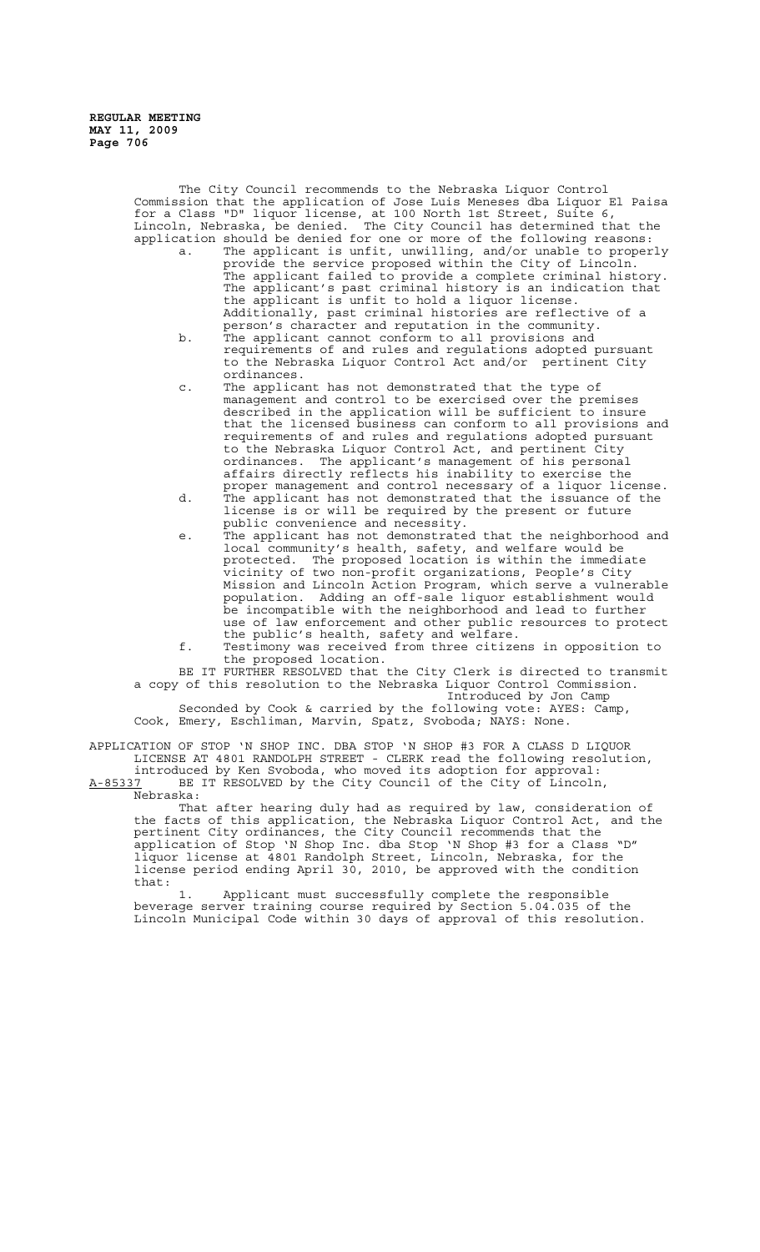> The City Council recommends to the Nebraska Liquor Control Commission that the application of Jose Luis Meneses dba Liquor El Paisa for a Class "D" liquor license, at 100 North 1st Street, Suite 6, Lincoln, Nebraska, be denied. The City Council has determined that the application should be denied for one or more of the following reasons:

- a. The applicant is unfit, unwilling, and/or unable to properly provide the service proposed within the City of Lincoln. The applicant failed to provide a complete criminal history. The applicant's past criminal history is an indication that the applicant is unfit to hold a liquor license. Additionally, past criminal histories are reflective of a person's character and reputation in the community.
- b. The applicant cannot conform to all provisions and requirements of and rules and regulations adopted pursuant to the Nebraska Liquor Control Act and/or pertinent City ordinances.
- c. The applicant has not demonstrated that the type of management and control to be exercised over the premises described in the application will be sufficient to insure that the licensed business can conform to all provisions and requirements of and rules and regulations adopted pursuant to the Nebraska Liquor Control Act, and pertinent City ordinances. The applicant's management of his personal affairs directly reflects his inability to exercise the proper management and control necessary of a liquor license. d. The applicant has not demonstrated that the issuance of the
- license is or will be required by the present or future public convenience and necessity.
- e. The applicant has not demonstrated that the neighborhood and local community's health, safety, and welfare would be protected. The proposed location is within the immediate vicinity of two non-profit organizations, People's City Mission and Lincoln Action Program, which serve a vulnerable population. Adding an off-sale liquor establishment would be incompatible with the neighborhood and lead to further use of law enforcement and other public resources to protect the public's health, safety and welfare.

f. Testimony was received from three citizens in opposition to the proposed location.

BE IT FURTHER RESOLVED that the City Clerk is directed to transmit a copy of this resolution to the Nebraska Liquor Control Commission. Introduced by Jon Camp<br>Introduced by Jon Camp<br>Illowing vote: AYES: Camp, Seconded by Cook & carried by the following vote:

Cook, Emery, Eschliman, Marvin, Spatz, Svoboda; NAYS: None.

APPLICATION OF STOP 'N SHOP INC. DBA STOP 'N SHOP #3 FOR A CLASS D LIQUOR LICENSE AT 4801 RANDOLPH STREET - CLERK read the following resolution, introduced by Ken Svoboda, who moved its adoption for approval: A-85337 BE IT RESOLVED by the City Council of the City of Lincoln, Nebraska:

That after hearing duly had as required by law, consideration of the facts of this application, the Nebraska Liquor Control Act, and the pertinent City ordinances, the City Council recommends that the application of Stop 'N Shop Inc. dba Stop 'N Shop #3 for a Class "D" liquor license at 4801 Randolph Street, Lincoln, Nebraska, for the license period ending April 30, 2010, be approved with the condition that:

1. Applicant must successfully complete the responsible beverage server training course required by Section 5.04.035 of the Lincoln Municipal Code within 30 days of approval of this resolution.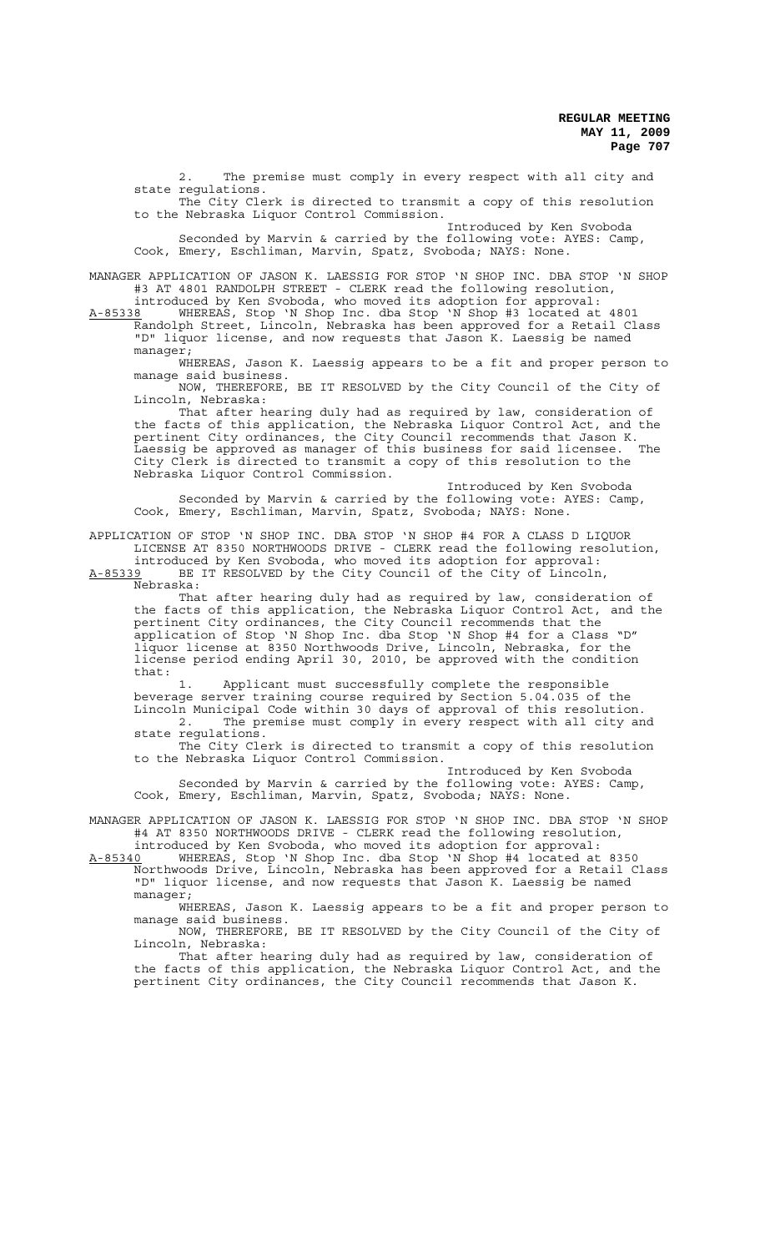2. The premise must comply in every respect with all city and state regulations.

The City Clerk is directed to transmit a copy of this resolution to the Nebraska Liquor Control Commission.

Introduced by Ken Svoboda Seconded by Marvin & carried by the following vote: AYES: Camp, Cook, Emery, Eschliman, Marvin, Spatz, Svoboda; NAYS: None.

MANAGER APPLICATION OF JASON K. LAESSIG FOR STOP 'N SHOP INC. DBA STOP 'N SHOP #3 AT 4801 RANDOLPH STREET - CLERK read the following resolution, introduced by Ken Svoboda, who moved its adoption for approval:

A-85338 WHEREAS, Stop 'N Shop Inc. dba Stop 'N Shop #3 located at 4801 Randolph Street, Lincoln, Nebraska has been approved for a Retail Class "D" liquor license, and now requests that Jason K. Laessig be named manager;

WHEREAS, Jason K. Laessig appears to be a fit and proper person to manage said business.

NOW, THEREFORE, BE IT RESOLVED by the City Council of the City of Lincoln, Nebraska:

That after hearing duly had as required by law, consideration of the facts of this application, the Nebraska Liquor Control Act, and the pertinent City ordinances, the City Council recommends that Jason K. Laessig be approved as manager of this business for said licensee. The City Clerk is directed to transmit a copy of this resolution to the Nebraska Liquor Control Commission.

Introduced by Ken Svoboda Seconded by Marvin & carried by the following vote: AYES: Camp, Cook, Emery, Eschliman, Marvin, Spatz, Svoboda; NAYS: None.

APPLICATION OF STOP 'N SHOP INC. DBA STOP 'N SHOP #4 FOR A CLASS D LIQUOR LICENSE AT 8350 NORTHWOODS DRIVE - CLERK read the following resolution, introduced by Ken Svoboda, who moved its adoption for approval: A-85339 BE IT RESOLVED by the City Council of the City of Lincoln,

 $A-85339$  BE<br>Nebraska:

That after hearing duly had as required by law, consideration of the facts of this application, the Nebraska Liquor Control Act, and the pertinent City ordinances, the City Council recommends that the application of Stop 'N Shop Inc. dba Stop 'N Shop #4 for a Class "D" liquor license at 8350 Northwoods Drive, Lincoln, Nebraska, for the license period ending April 30, 2010, be approved with the condition that:

1. Applicant must successfully complete the responsible beverage server training course required by Section 5.04.035 of the Lincoln Municipal Code within 30 days of approval of this resolution.<br>2. The premise must comply in every respect with all city an The premise must comply in every respect with all city and

state regulations. The City Clerk is directed to transmit a copy of this resolution to the Nebraska Liquor Control Commission.

Introduced by Ken Svoboda Seconded by Marvin & carried by the following vote: AYES: Camp, Cook, Emery, Eschliman, Marvin, Spatz, Svoboda; NAYS: None.

MANAGER APPLICATION OF JASON K. LAESSIG FOR STOP 'N SHOP INC. DBA STOP 'N SHOP #4 AT 8350 NORTHWOODS DRIVE - CLERK read the following resolution,

introduced by Ken Svoboda, who moved its adoption for approval: A-85340 WHEREAS, Stop 'N Shop Inc. dba Stop 'N Shop #4 located at 8350 Northwoods Drive, Lincoln, Nebraska has been approved for a Retail Class

"D" liquor license, and now requests that Jason K. Laessig be named manager; WHEREAS, Jason K. Laessig appears to be a fit and proper person to

manage said business. NOW, THEREFORE, BE IT RESOLVED by the City Council of the City of

Lincoln, Nebraska: That after hearing duly had as required by law, consideration of

the facts of this application, the Nebraska Liquor Control Act, and the pertinent City ordinances, the City Council recommends that Jason K.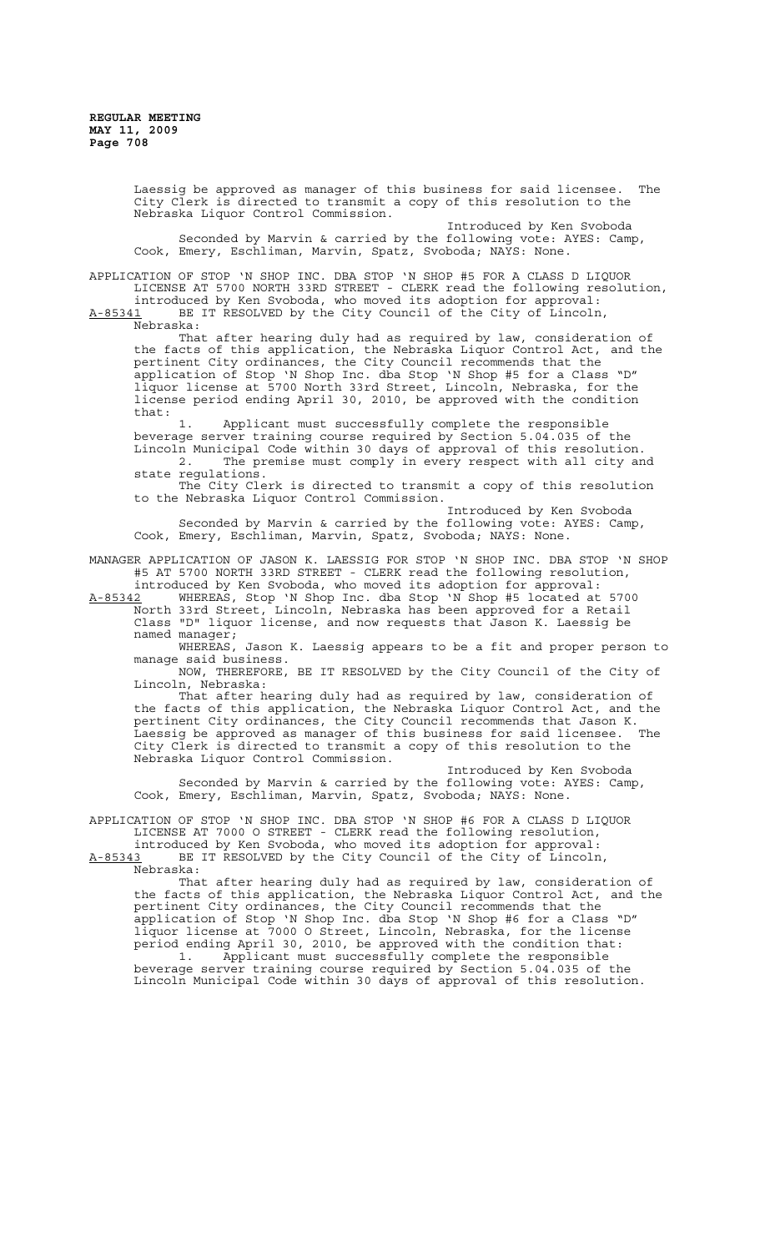Laessig be approved as manager of this business for said licensee. The City Clerk is directed to transmit a copy of this resolution to the Nebraska Liquor Control Commission.

Introduced by Ken Svoboda Seconded by Marvin & carried by the following vote: AYES: Camp, Cook, Emery, Eschliman, Marvin, Spatz, Svoboda; NAYS: None.

APPLICATION OF STOP 'N SHOP INC. DBA STOP 'N SHOP #5 FOR A CLASS D LIQUOR LICENSE AT 5700 NORTH 33RD STREET - CLERK read the following resolution, introduced by Ken Svoboda, who moved its adoption for approval:<br>A-85341 BE IT RESOLVED by the City Council of the City of Lincoln BE IT RESOLVED by the City Council of the City of Lincoln,

Nebraska:

That after hearing duly had as required by law, consideration of the facts of this application, the Nebraska Liquor Control Act, and the pertinent City ordinances, the City Council recommends that the application of Stop 'N Shop Inc. dba Stop 'N Shop #5 for a Class "D" liquor license at 5700 North 33rd Street, Lincoln, Nebraska, for the license period ending April 30, 2010, be approved with the condition that:

1. Applicant must successfully complete the responsible beverage server training course required by Section 5.04.035 of the Lincoln Municipal Code within 30 days of approval of this resolution. 2. The premise must comply in every respect with all city and state regulations.

The City Clerk is directed to transmit a copy of this resolution to the Nebraska Liquor Control Commission.

Introduced by Ken Svoboda Seconded by Marvin & carried by the following vote: AYES: Camp, Cook, Emery, Eschliman, Marvin, Spatz, Svoboda; NAYS: None.

MANAGER APPLICATION OF JASON K. LAESSIG FOR STOP 'N SHOP INC. DBA STOP 'N SHOP #5 AT 5700 NORTH 33RD STREET - CLERK read the following resolution, introduced by Ken Svoboda, who moved its adoption for approval:

A-85342 WHEREAS, Stop 'N Shop Inc. dba Stop 'N Shop #5 located at 5700 North 33rd Street, Lincoln, Nebraska has been approved for a Retail Class "D" liquor license, and now requests that Jason K. Laessig be named manager;

WHEREAS, Jason K. Laessig appears to be a fit and proper person to manage said business.

NOW, THEREFORE, BE IT RESOLVED by the City Council of the City of Lincoln, Nebraska:

That after hearing duly had as required by law, consideration of the facts of this application, the Nebraska Liquor Control Act, and the pertinent City ordinances, the City Council recommends that Jason K. Laessig be approved as manager of this business for said licensee. The City Clerk is directed to transmit a copy of this resolution to the Nebraska Liquor Control Commission.

Introduced by Ken Svoboda Seconded by Marvin & carried by the following vote: AYES: Camp, Cook, Emery, Eschliman, Marvin, Spatz, Svoboda; NAYS: None.

APPLICATION OF STOP 'N SHOP INC. DBA STOP 'N SHOP #6 FOR A CLASS D LIQUOR LICENSE AT 7000 O STREET - CLERK read the following resolution,

introduced by Ken Svoboda, who moved its adoption for approval: A-85343 BE IT RESOLVED by the City Council of the City of Lincoln,  $A-85343$  BE<br>Nebraska:

That after hearing duly had as required by law, consideration of the facts of this application, the Nebraska Liquor Control Act, and the pertinent City ordinances, the City Council recommends that the application of Stop 'N Shop Inc. dba Stop 'N Shop #6 for a Class "D" liquor license at 7000 O Street, Lincoln, Nebraska, for the license period ending April 30, 2010, be approved with the condition that: 1. Applicant must successfully complete the responsible beverage server training course required by Section 5.04.035 of the Lincoln Municipal Code within 30 days of approval of this resolution.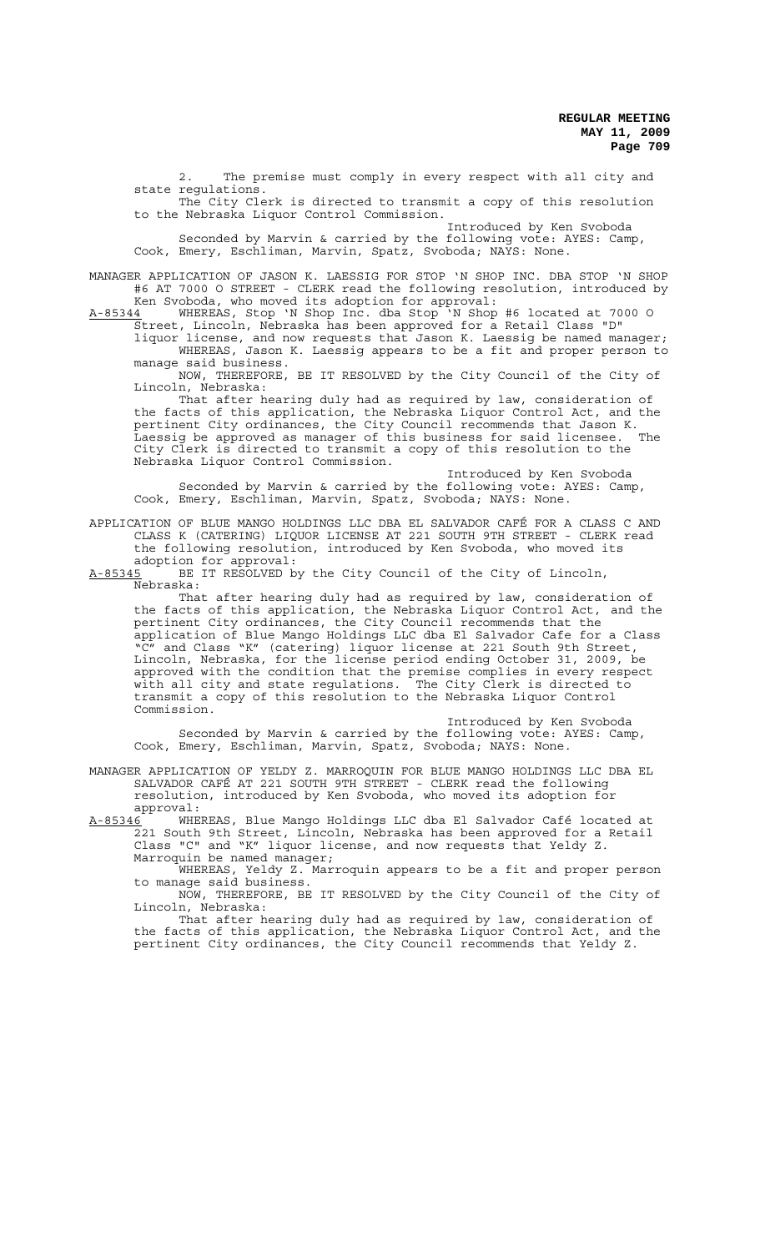2. The premise must comply in every respect with all city and state regulations.

The City Clerk is directed to transmit a copy of this resolution to the Nebraska Liquor Control Commission.

Introduced by Ken Svoboda Seconded by Marvin & carried by the following vote: AYES: Camp, Cook, Emery, Eschliman, Marvin, Spatz, Svoboda; NAYS: None.

MANAGER APPLICATION OF JASON K. LAESSIG FOR STOP 'N SHOP INC. DBA STOP 'N SHOP #6 AT 7000 O STREET - CLERK read the following resolution, introduced by Ken Svoboda, who moved its adoption for approval:

A-85344 WHEREAS, Stop 'N Shop Inc. dba Stop 'N Shop #6 located at 7000 O Street, Lincoln, Nebraska has been approved for a Retail Class "D"

liquor license, and now requests that Jason K. Laessig be named manager; WHEREAS, Jason K. Laessig appears to be a fit and proper person to manage said business.

NOW, THEREFORE, BE IT RESOLVED by the City Council of the City of Lincoln, Nebraska:

That after hearing duly had as required by law, consideration of the facts of this application, the Nebraska Liquor Control Act, and the pertinent City ordinances, the City Council recommends that Jason K. Laessig be approved as manager of this business for said licensee. The City Clerk is directed to transmit a copy of this resolution to the Nebraska Liquor Control Commission.

Introduced by Ken Svoboda Seconded by Marvin & carried by the following vote: AYES: Camp, Cook, Emery, Eschliman, Marvin, Spatz, Svoboda; NAYS: None.

APPLICATION OF BLUE MANGO HOLDINGS LLC DBA EL SALVADOR CAFÉ FOR A CLASS C AND CLASS K (CATERING) LIQUOR LICENSE AT 221 SOUTH 9TH STREET - CLERK read the following resolution, introduced by Ken Svoboda, who moved its adoption for approval:

A-85345 BE IT RESOLVED by the City Council of the City of Lincoln,  $A-85345$  BE<br>Nebraska:

That after hearing duly had as required by law, consideration of the facts of this application, the Nebraska Liquor Control Act, and the pertinent City ordinances, the City Council recommends that the application of Blue Mango Holdings LLC dba El Salvador Cafe for a Class "C" and Class "K" (catering) liquor license at 221 South 9th Street, Lincoln, Nebraska, for the license period ending October 31, 2009, be approved with the condition that the premise complies in every respect with all city and state regulations. The City Clerk is directed to transmit a copy of this resolution to the Nebraska Liquor Control Commission.

Introduced by Ken Svoboda Seconded by Marvin & carried by the following vote: AYES: Camp, Cook, Emery, Eschliman, Marvin, Spatz, Svoboda; NAYS: None.

MANAGER APPLICATION OF YELDY Z. MARROQUIN FOR BLUE MANGO HOLDINGS LLC DBA EL SALVADOR CAFÉ AT 221 SOUTH 9TH STREET - CLERK read the following resolution, introduced by Ken Svoboda, who moved its adoption for

approval:<br><u>A-85346</u> WHE A-85346 MHEREAS, Blue Mango Holdings LLC dba El Salvador Café located at 221 South 9th Street, Lincoln, Nebraska has been approved for a Retail Class "C" and "K" liquor license, and now requests that Yeldy Z.<br>Marroquin be named manager; Marroquin be named manager;

WHEREAS, Yeldy Z. Marroquin appears to be a fit and proper person to manage said business.

NOW, THEREFORE, BE IT RESOLVED by the City Council of the City of Lincoln, Nebraska:

That after hearing duly had as required by law, consideration of the facts of this application, the Nebraska Liquor Control Act, and the pertinent City ordinances, the City Council recommends that Yeldy Z.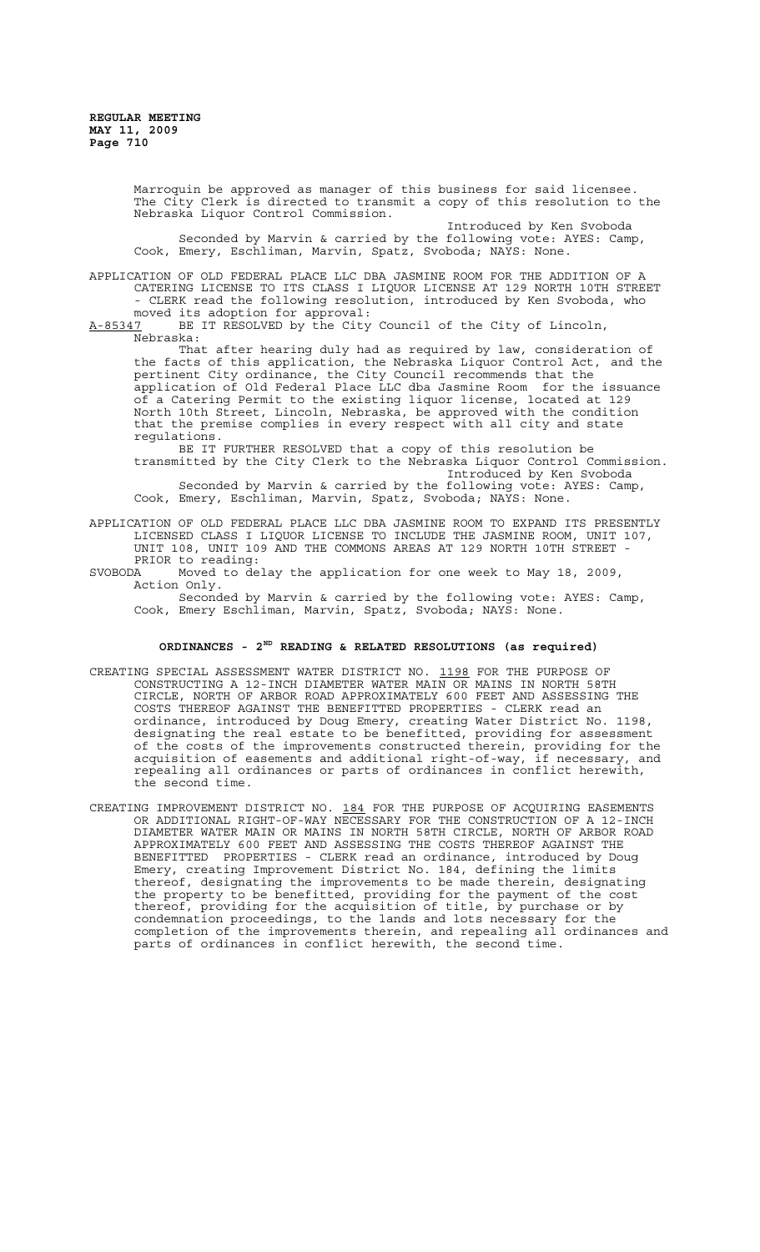Marroquin be approved as manager of this business for said licensee. The City Clerk is directed to transmit a copy of this resolution to the Nebraska Liquor Control Commission.

Introduced by Ken Svoboda Seconded by Marvin & carried by the following vote: AYES: Camp, Cook, Emery, Eschliman, Marvin, Spatz, Svoboda; NAYS: None.

APPLICATION OF OLD FEDERAL PLACE LLC DBA JASMINE ROOM FOR THE ADDITION OF A CATERING LICENSE TO ITS CLASS I LIQUOR LICENSE AT 129 NORTH 10TH STREET - CLERK read the following resolution, introduced by Ken Svoboda, who

moved its adoption for approval:<br>A-85347 BE IT RESOLVED by the City BE IT RESOLVED by the City Council of the City of Lincoln, Nebraska:

That after hearing duly had as required by law, consideration of the facts of this application, the Nebraska Liquor Control Act, and the pertinent City ordinance, the City Council recommends that the application of Old Federal Place LLC dba Jasmine Room for the issuance of a Catering Permit to the existing liquor license, located at 129 North 10th Street, Lincoln, Nebraska, be approved with the condition that the premise complies in every respect with all city and state regulations.

BE IT FURTHER RESOLVED that a copy of this resolution be transmitted by the City Clerk to the Nebraska Liquor Control Commission. Introduced by Ken Svoboda Seconded by Marvin & carried by the following vote: AYES: Camp,

Cook, Emery, Eschliman, Marvin, Spatz, Svoboda; NAYS: None.

APPLICATION OF OLD FEDERAL PLACE LLC DBA JASMINE ROOM TO EXPAND ITS PRESENTLY LICENSED CLASS I LIQUOR LICENSE TO INCLUDE THE JASMINE ROOM, UNIT 107, UNIT 108, UNIT 109 AND THE COMMONS AREAS AT 129 NORTH 10TH STREET - PRIOR to reading:<br>SVOBODA Moved to de

Moved to delay the application for one week to May 18, 2009, Action Only.

Seconded by Marvin & carried by the following vote: AYES: Camp, Cook, Emery Eschliman, Marvin, Spatz, Svoboda; NAYS: None.

## **ORDINANCES - 2ND READING & RELATED RESOLUTIONS (as required)**

- CREATING SPECIAL ASSESSMENT WATER DISTRICT NO. 1198 FOR THE PURPOSE OF CONSTRUCTING A 12-INCH DIAMETER WATER MAIN OR MAINS IN NORTH 58TH CIRCLE, NORTH OF ARBOR ROAD APPROXIMATELY 600 FEET AND ASSESSING THE COSTS THEREOF AGAINST THE BENEFITTED PROPERTIES - CLERK read an ordinance, introduced by Doug Emery, creating Water District No. 1198, designating the real estate to be benefitted, providing for assessment of the costs of the improvements constructed therein, providing for the acquisition of easements and additional right-of-way, if necessary, and repealing all ordinances or parts of ordinances in conflict herewith, the second time.
- CREATING IMPROVEMENT DISTRICT NO. 184 FOR THE PURPOSE OF ACQUIRING EASEMENTS OR ADDITIONAL RIGHT-OF-WAY NECESSARY FOR THE CONSTRUCTION OF A 12-INCH DIAMETER WATER MAIN OR MAINS IN NORTH 58TH CIRCLE, NORTH OF ARBOR ROAD APPROXIMATELY 600 FEET AND ASSESSING THE COSTS THEREOF AGAINST THE BENEFITTED PROPERTIES - CLERK read an ordinance, introduced by Doug Emery, creating Improvement District No. 184, defining the limits thereof, designating the improvements to be made therein, designating the property to be benefitted, providing for the payment of the cost thereof, providing for the acquisition of title, by purchase or by condemnation proceedings, to the lands and lots necessary for the completion of the improvements therein, and repealing all ordinances and parts of ordinances in conflict herewith, the second time.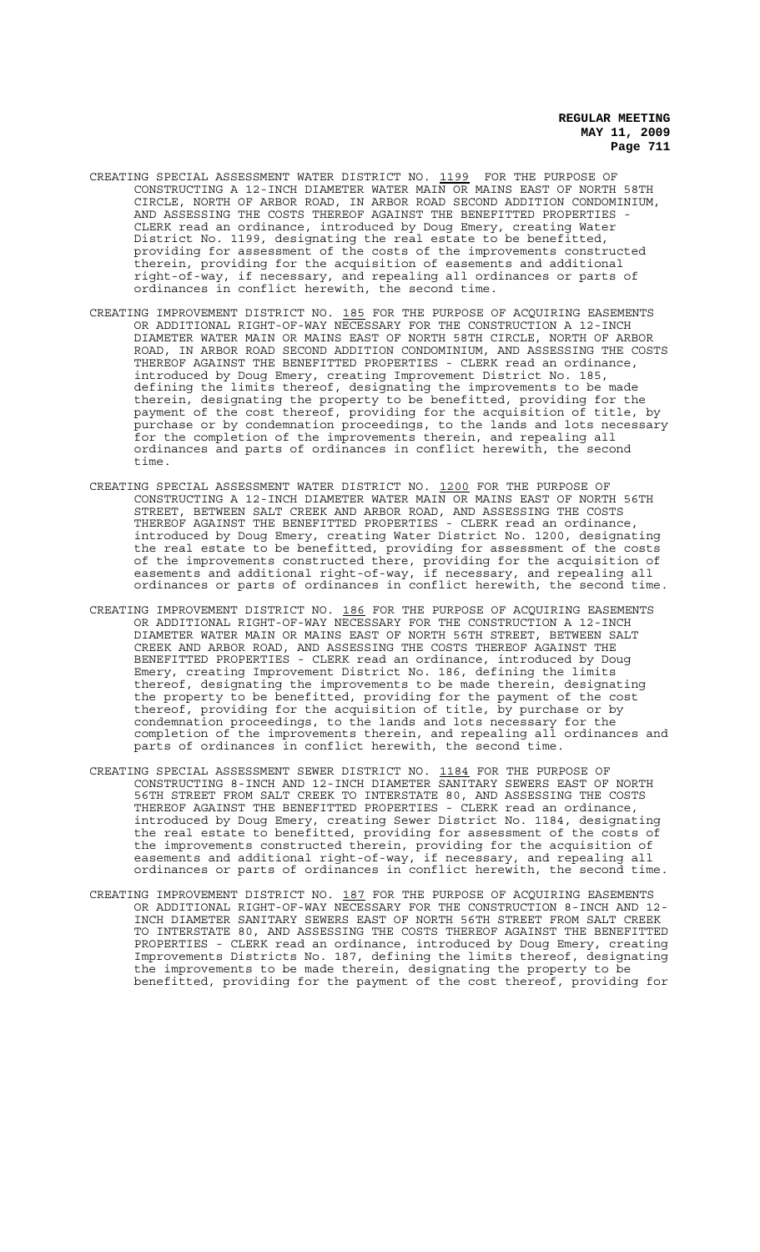- CREATING SPECIAL ASSESSMENT WATER DISTRICT NO. 1199 FOR THE PURPOSE OF CONSTRUCTING A 12-INCH DIAMETER WATER MAIN OR MAINS EAST OF NORTH 58TH CIRCLE, NORTH OF ARBOR ROAD, IN ARBOR ROAD SECOND ADDITION CONDOMINIUM, AND ASSESSING THE COSTS THEREOF AGAINST THE BENEFITTED PROPERTIES - CLERK read an ordinance, introduced by Doug Emery, creating Water District No. 1199, designating the real estate to be benefitted, providing for assessment of the costs of the improvements constructed therein, providing for the acquisition of easements and additional right-of-way, if necessary, and repealing all ordinances or parts of ordinances in conflict herewith, the second time.
- CREATING IMPROVEMENT DISTRICT NO. 185 FOR THE PURPOSE OF ACQUIRING EASEMENTS OR ADDITIONAL RIGHT-OF-WAY NECESSARY FOR THE CONSTRUCTION A 12-INCH DIAMETER WATER MAIN OR MAINS EAST OF NORTH 58TH CIRCLE, NORTH OF ARBOR ROAD, IN ARBOR ROAD SECOND ADDITION CONDOMINIUM, AND ASSESSING THE COSTS THEREOF AGAINST THE BENEFITTED PROPERTIES - CLERK read an ordinance, introduced by Doug Emery, creating Improvement District No. 185, defining the limits thereof, designating the improvements to be made therein, designating the property to be benefitted, providing for the payment of the cost thereof, providing for the acquisition of title, by purchase or by condemnation proceedings, to the lands and lots necessary for the completion of the improvements therein, and repealing all ordinances and parts of ordinances in conflict herewith, the second time.
- CREATING SPECIAL ASSESSMENT WATER DISTRICT NO. 1200 FOR THE PURPOSE OF CONSTRUCTING A 12-INCH DIAMETER WATER MAIN OR MAINS EAST OF NORTH 56TH STREET, BETWEEN SALT CREEK AND ARBOR ROAD, AND ASSESSING THE COSTS THEREOF AGAINST THE BENEFITTED PROPERTIES - CLERK read an ordinance, introduced by Doug Emery, creating Water District No. 1200, designating the real estate to be benefitted, providing for assessment of the costs of the improvements constructed there, providing for the acquisition of easements and additional right-of-way, if necessary, and repealing all ordinances or parts of ordinances in conflict herewith, the second time.
- CREATING IMPROVEMENT DISTRICT NO. 186 FOR THE PURPOSE OF ACQUIRING EASEMENTS OR ADDITIONAL RIGHT-OF-WAY NECESSARY FOR THE CONSTRUCTION A 12-INCH DIAMETER WATER MAIN OR MAINS EAST OF NORTH 56TH STREET, BETWEEN SALT CREEK AND ARBOR ROAD, AND ASSESSING THE COSTS THEREOF AGAINST THE BENEFITTED PROPERTIES - CLERK read an ordinance, introduced by Doug Emery, creating Improvement District No. 186, defining the limits thereof, designating the improvements to be made therein, designating the property to be benefitted, providing for the payment of the cost thereof, providing for the acquisition of title, by purchase or by condemnation proceedings, to the lands and lots necessary for the completion of the improvements therein, and repealing all ordinances and parts of ordinances in conflict herewith, the second time.
- CREATING SPECIAL ASSESSMENT SEWER DISTRICT NO. 1184 FOR THE PURPOSE OF CONSTRUCTING 8-INCH AND 12-INCH DIAMETER SANITARY SEWERS EAST OF NORTH 56TH STREET FROM SALT CREEK TO INTERSTATE 80, AND ASSESSING THE COSTS THEREOF AGAINST THE BENEFITTED PROPERTIES - CLERK read an ordinance, introduced by Doug Emery, creating Sewer District No. 1184, designating the real estate to benefitted, providing for assessment of the costs of the improvements constructed therein, providing for the acquisition of easements and additional right-of-way, if necessary, and repealing all ordinances or parts of ordinances in conflict herewith, the second time.
- CREATING IMPROVEMENT DISTRICT NO. 187 FOR THE PURPOSE OF ACQUIRING EASEMENTS OR ADDITIONAL RIGHT-OF-WAY NECESSARY FOR THE CONSTRUCTION 8-INCH AND 12- INCH DIAMETER SANITARY SEWERS EAST OF NORTH 56TH STREET FROM SALT CREEK TO INTERSTATE 80, AND ASSESSING THE COSTS THEREOF AGAINST THE BENEFITTED PROPERTIES - CLERK read an ordinance, introduced by Doug Emery, creating Improvements Districts No. 187, defining the limits thereof, designating the improvements to be made therein, designating the property to be benefitted, providing for the payment of the cost thereof, providing for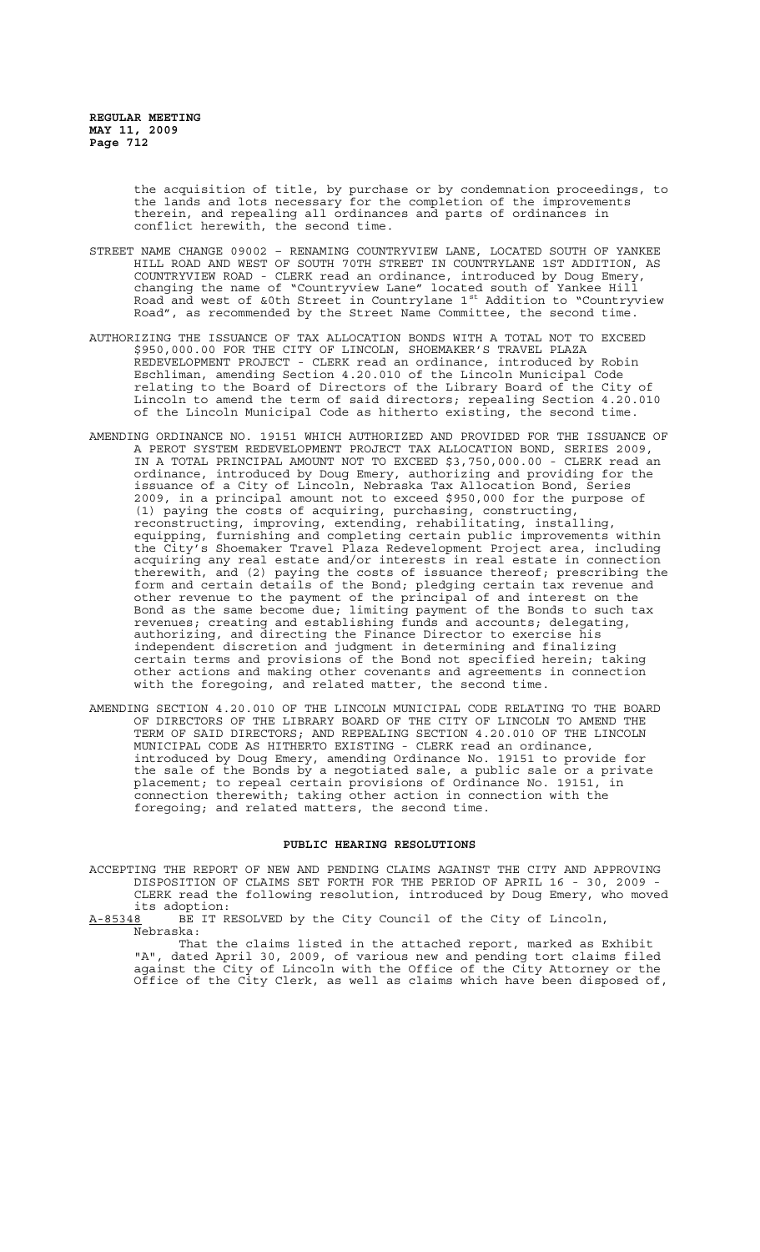the acquisition of title, by purchase or by condemnation proceedings, to the lands and lots necessary for the completion of the improvements therein, and repealing all ordinances and parts of ordinances in conflict herewith, the second time.

- STREET NAME CHANGE 09002 RENAMING COUNTRYVIEW LANE, LOCATED SOUTH OF YANKEE HILL ROAD AND WEST OF SOUTH 70TH STREET IN COUNTRYLANE 1ST ADDITION, AS COUNTRYVIEW ROAD - CLERK read an ordinance, introduced by Doug Emery, changing the name of "Countryview Lane" located south of Yankee Hill Road and west of &0th Street in Countrylane 1<sup>st</sup> Addition to "Countryview Road", as recommended by the Street Name Committee, the second time.
- AUTHORIZING THE ISSUANCE OF TAX ALLOCATION BONDS WITH A TOTAL NOT TO EXCEED \$950,000.00 FOR THE CITY OF LINCOLN, SHOEMAKER'S TRAVEL PLAZA REDEVELOPMENT PROJECT - CLERK read an ordinance, introduced by Robin Eschliman, amending Section 4.20.010 of the Lincoln Municipal Code relating to the Board of Directors of the Library Board of the City of Lincoln to amend the term of said directors; repealing Section 4.20.010 of the Lincoln Municipal Code as hitherto existing, the second time.
- AMENDING ORDINANCE NO. 19151 WHICH AUTHORIZED AND PROVIDED FOR THE ISSUANCE OF A PEROT SYSTEM REDEVELOPMENT PROJECT TAX ALLOCATION BOND, SERIES 2009, IN A TOTAL PRINCIPAL AMOUNT NOT TO EXCEED \$3,750,000.00 - CLERK read an ordinance, introduced by Doug Emery, authorizing and providing for the issuance of a City of Lincoln, Nebraska Tax Allocation Bond, Series 2009, in a principal amount not to exceed \$950,000 for the purpose of (1) paying the costs of acquiring, purchasing, constructing, reconstructing, improving, extending, rehabilitating, installing, equipping, furnishing and completing certain public improvements within the City's Shoemaker Travel Plaza Redevelopment Project area, including acquiring any real estate and/or interests in real estate in connection therewith, and (2) paying the costs of issuance thereof; prescribing the form and certain details of the Bond; pledging certain tax revenue and other revenue to the payment of the principal of and interest on the Bond as the same become due; limiting payment of the Bonds to such tax revenues; creating and establishing funds and accounts; delegating, authorizing, and directing the Finance Director to exercise his independent discretion and judgment in determining and finalizing certain terms and provisions of the Bond not specified herein; taking other actions and making other covenants and agreements in connection with the foregoing, and related matter, the second time.
- AMENDING SECTION 4.20.010 OF THE LINCOLN MUNICIPAL CODE RELATING TO THE BOARD OF DIRECTORS OF THE LIBRARY BOARD OF THE CITY OF LINCOLN TO AMEND THE TERM OF SAID DIRECTORS; AND REPEALING SECTION 4.20.010 OF THE LINCOLN MUNICIPAL CODE AS HITHERTO EXISTING - CLERK read an ordinance, introduced by Doug Emery, amending Ordinance No. 19151 to provide for the sale of the Bonds by a negotiated sale, a public sale or a private placement; to repeal certain provisions of Ordinance No. 19151, in connection therewith; taking other action in connection with the foregoing; and related matters, the second time.

### **PUBLIC HEARING RESOLUTIONS**

ACCEPTING THE REPORT OF NEW AND PENDING CLAIMS AGAINST THE CITY AND APPROVING DISPOSITION OF CLAIMS SET FORTH FOR THE PERIOD OF APRIL 16 - 30, 2009 - CLERK read the following resolution, introduced by Doug Emery, who moved its adoption:<br><u>A-85348</u> BE IT R

BE IT RESOLVED by the City Council of the City of Lincoln, Nebraska:

That the claims listed in the attached report, marked as Exhibit "A", dated April 30, 2009, of various new and pending tort claims filed against the City of Lincoln with the Office of the City Attorney or the Office of the City Clerk, as well as claims which have been disposed of,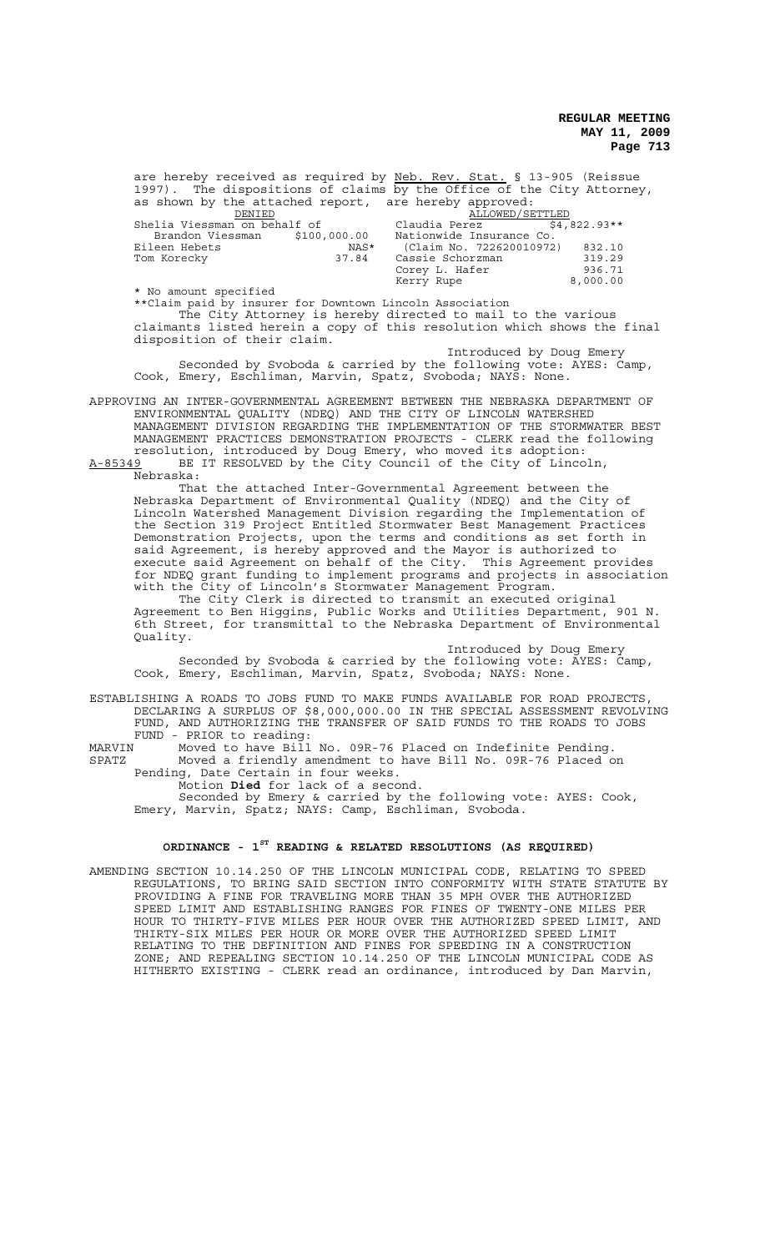are hereby received as required by Neb. Rev. Stat. § 13-905 (Reissue 1997). The dispositions of claims by the Office of the City Attorney, as shown by the attached report, are hereby approved: DENIED ALLOWED/SETTLED Shelia Viessman on behalf of Claudia Perez \$4,822.93\*\* Brandon Viessman \$100,000.00 Nationwide Insurance Co. Eileen Hebets NAS\* (Claim No. 722620010972) 832.10<br>Tom Korecky 37.84 Cassie Schorzman 319.29

Cassie Schorzman 319.29<br>Corev L. Hafer 336.71 Corey L. Hafer 936.71 Kerry Rupe 8,000.00

\*\*Claim paid by insurer for Downtown Lincoln Association The City Attorney is hereby directed to mail to the various claimants listed herein a copy of this resolution which shows the final disposition of their claim.

Introduced by Doug Emery Seconded by Svoboda & carried by the following vote: AYES: Camp, Cook, Emery, Eschliman, Marvin, Spatz, Svoboda; NAYS: None.

APPROVING AN INTER-GOVERNMENTAL AGREEMENT BETWEEN THE NEBRASKA DEPARTMENT OF ENVIRONMENTAL QUALITY (NDEQ) AND THE CITY OF LINCOLN WATERSHED MANAGEMENT DIVISION REGARDING THE IMPLEMENTATION OF THE STORMWATER BEST MANAGEMENT PRACTICES DEMONSTRATION PROJECTS - CLERK read the following resolution, introduced by Doug Emery, who moved its adoption: A-85349 BE IT RESOLVED by the City Council of the City of Lincoln,

Nebraska:

\* No amount specified

That the attached Inter-Governmental Agreement between the Nebraska Department of Environmental Quality (NDEQ) and the City of Lincoln Watershed Management Division regarding the Implementation of the Section 319 Project Entitled Stormwater Best Management Practices Demonstration Projects, upon the terms and conditions as set forth in said Agreement, is hereby approved and the Mayor is authorized to execute said Agreement on behalf of the City. This Agreement provides for NDEQ grant funding to implement programs and projects in association with the City of Lincoln's Stormwater Management Program.

The City Clerk is directed to transmit an executed original Agreement to Ben Higgins, Public Works and Utilities Department, 901 N. 6th Street, for transmittal to the Nebraska Department of Environmental Quality.

Introduced by Doug Emery Seconded by Svoboda & carried by the following vote: AYES: Camp, Cook, Emery, Eschliman, Marvin, Spatz, Svoboda; NAYS: None.

ESTABLISHING A ROADS TO JOBS FUND TO MAKE FUNDS AVAILABLE FOR ROAD PROJECTS, DECLARING A SURPLUS OF \$8,000,000.00 IN THE SPECIAL ASSESSMENT REVOLVING FUND, AND AUTHORIZING THE TRANSFER OF SAID FUNDS TO THE ROADS TO JOBS FUND - PRIOR to reading:

MARVIN Moved to have Bill No. 09R-76 Placed on Indefinite Pending. SPATZ Moved a friendly amendment to have Bill No. 09R-76 Placed on Pending, Date Certain in four weeks.

Motion **Died** for lack of a second.

Seconded by Emery & carried by the following vote: AYES: Cook, Emery, Marvin, Spatz; NAYS: Camp, Eschliman, Svoboda.

## **ORDINANCE - 1ST READING & RELATED RESOLUTIONS (AS REQUIRED)**

AMENDING SECTION 10.14.250 OF THE LINCOLN MUNICIPAL CODE, RELATING TO SPEED REGULATIONS, TO BRING SAID SECTION INTO CONFORMITY WITH STATE STATUTE BY PROVIDING A FINE FOR TRAVELING MORE THAN 35 MPH OVER THE AUTHORIZED SPEED LIMIT AND ESTABLISHING RANGES FOR FINES OF TWENTY-ONE MILES PER HOUR TO THIRTY-FIVE MILES PER HOUR OVER THE AUTHORIZED SPEED LIMIT, AND THIRTY-SIX MILES PER HOUR OR MORE OVER THE AUTHORIZED SPEED LIMIT RELATING TO THE DEFINITION AND FINES FOR SPEEDING IN A CONSTRUCTION ZONE; AND REPEALING SECTION 10.14.250 OF THE LINCOLN MUNICIPAL CODE AS HITHERTO EXISTING - CLERK read an ordinance, introduced by Dan Marvin,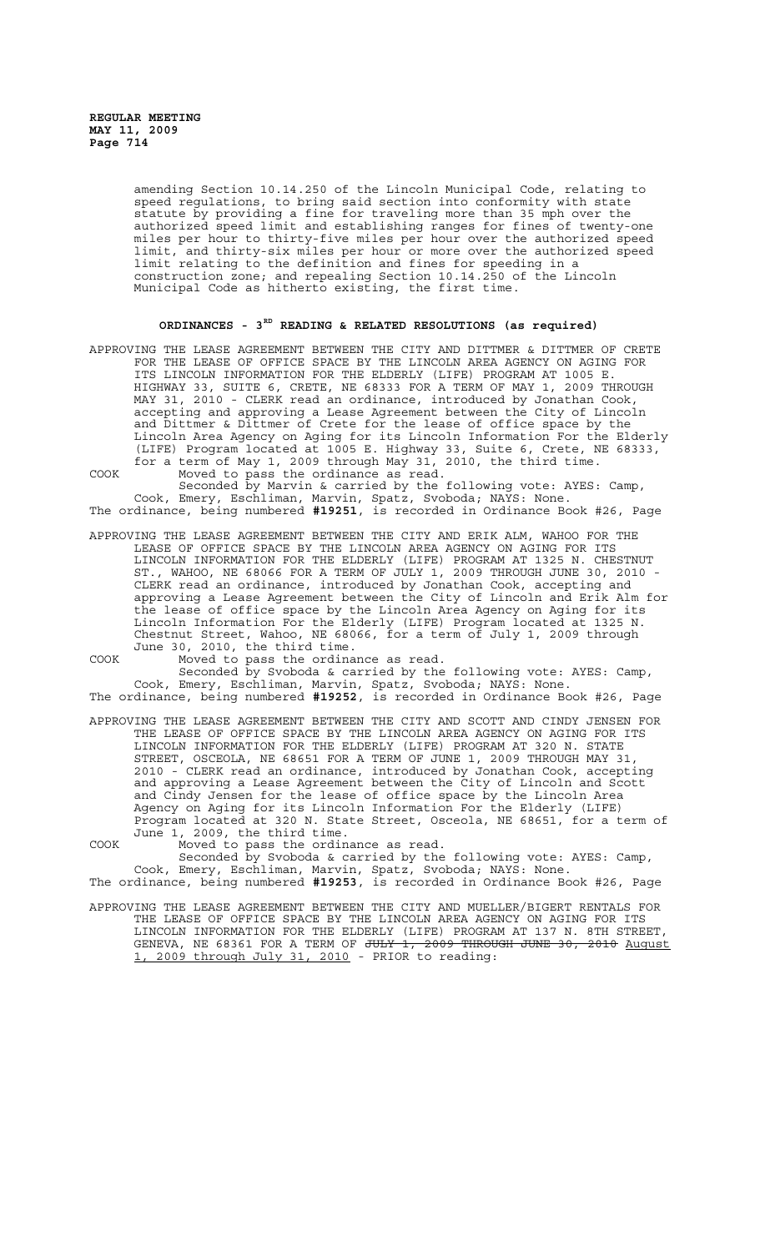amending Section 10.14.250 of the Lincoln Municipal Code, relating to speed regulations, to bring said section into conformity with state statute by providing a fine for traveling more than 35 mph over the authorized speed limit and establishing ranges for fines of twenty-one miles per hour to thirty-five miles per hour over the authorized speed limit, and thirty-six miles per hour or more over the authorized speed limit relating to the definition and fines for speeding in a construction zone; and repealing Section 10.14.250 of the Lincoln Municipal Code as hitherto existing, the first time.

# **ORDINANCES - 3RD READING & RELATED RESOLUTIONS (as required)**

APPROVING THE LEASE AGREEMENT BETWEEN THE CITY AND DITTMER & DITTMER OF CRETE FOR THE LEASE OF OFFICE SPACE BY THE LINCOLN AREA AGENCY ON AGING FOR ITS LINCOLN INFORMATION FOR THE ELDERLY (LIFE) PROGRAM AT 1005 E. HIGHWAY 33, SUITE 6, CRETE, NE 68333 FOR A TERM OF MAY 1, 2009 THROUGH MAY 31, 2010 - CLERK read an ordinance, introduced by Jonathan Cook, accepting and approving a Lease Agreement between the City of Lincoln and Dittmer & Dittmer of Crete for the lease of office space by the Lincoln Area Agency on Aging for its Lincoln Information For the Elderly (LIFE) Program located at 1005 E. Highway 33, Suite 6, Crete, NE 68333, for a term of May 1, 2009 through May 31, 2010, the third time. COOK Moved to pass the ordinance as read.

Seconded by Marvin & carried by the following vote: AYES: Camp, Cook, Emery, Eschliman, Marvin, Spatz, Svoboda; NAYS: None. The ordinance, being numbered **#19251**, is recorded in Ordinance Book #26, Page

APPROVING THE LEASE AGREEMENT BETWEEN THE CITY AND ERIK ALM, WAHOO FOR THE LEASE OF OFFICE SPACE BY THE LINCOLN AREA AGENCY ON AGING FOR ITS LINCOLN INFORMATION FOR THE ELDERLY (LIFE) PROGRAM AT 1325 N. CHESTNUT ST., WAHOO, NE 68066 FOR A TERM OF JULY 1, 2009 THROUGH JUNE 30, 2010 - CLERK read an ordinance, introduced by Jonathan Cook, accepting and approving a Lease Agreement between the City of Lincoln and Erik Alm for the lease of office space by the Lincoln Area Agency on Aging for its Lincoln Information For the Elderly (LIFE) Program located at 1325 N. Chestnut Street, Wahoo, NE 68066, for a term of July 1, 2009 through June 30, 2010, the third time.

COOK Moved to pass the ordinance as read.

Seconded by Svoboda & carried by the following vote: AYES: Camp, Cook, Emery, Eschliman, Marvin, Spatz, Svoboda; NAYS: None. The ordinance, being numbered **#19252**, is recorded in Ordinance Book #26, Page

APPROVING THE LEASE AGREEMENT BETWEEN THE CITY AND SCOTT AND CINDY JENSEN FOR THE LEASE OF OFFICE SPACE BY THE LINCOLN AREA AGENCY ON AGING FOR ITS LINCOLN INFORMATION FOR THE ELDERLY (LIFE) PROGRAM AT 320 N. STATE STREET, OSCEOLA, NE 68651 FOR A TERM OF JUNE 1, 2009 THROUGH MAY 31, 2010 - CLERK read an ordinance, introduced by Jonathan Cook, accepting and approving a Lease Agreement between the City of Lincoln and Scott and Cindy Jensen for the lease of office space by the Lincoln Area Agency on Aging for its Lincoln Information For the Elderly (LIFE) Program located at 320 N. State Street, Osceola, NE 68651, for a term of June 1, 2009, the third time.

COOK Moved to pass the ordinance as read. Seconded by Svoboda & carried by the following vote: AYES: Camp,

Cook, Emery, Eschliman, Marvin, Spatz, Svoboda; NAYS: None. The ordinance, being numbered **#19253**, is recorded in Ordinance Book #26, Page

APPROVING THE LEASE AGREEMENT BETWEEN THE CITY AND MUELLER/BIGERT RENTALS FOR THE LEASE OF OFFICE SPACE BY THE LINCOLN AREA AGENCY ON AGING FOR ITS LINCOLN INFORMATION FOR THE ELDERLY (LIFE) PROGRAM AT 137 N. 8TH STREET, GENEVA, NE 68361 FOR A TERM OF <del>JULY 1, 2009 THROUGH JUNE 30, 2010</del> August 1, 2009 through July 31, 2010 - PRIOR to reading: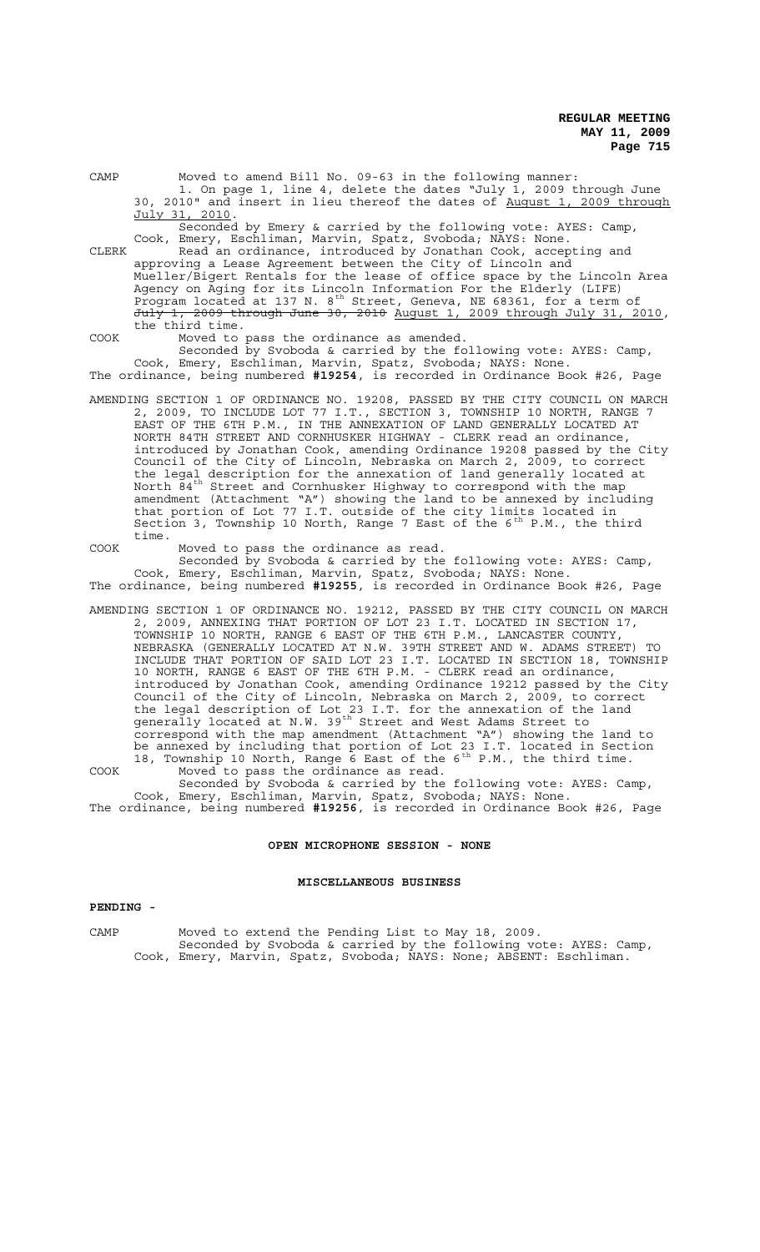| CAMP  | Moved to amend Bill No. 09-63 in the following manner:<br>1. On page 1, line 4, delete the dates "July 1, 2009 through June                            |
|-------|--------------------------------------------------------------------------------------------------------------------------------------------------------|
|       | 30, 2010" and insert in lieu thereof the dates of August 1, 2009 through                                                                               |
|       | July 31, 2010.                                                                                                                                         |
|       | Seconded by Emery & carried by the following vote: AYES: Camp,                                                                                         |
| CLERK | Cook, Emery, Eschliman, Marvin, Spatz, Svoboda; NAYS: None.<br>Read an ordinance, introduced by Jonathan Cook, accepting and                           |
|       | approving a Lease Agreement between the City of Lincoln and                                                                                            |
|       | Mueller/Bigert Rentals for the lease of office space by the Lincoln Area                                                                               |
|       | Agency on Aging for its Lincoln Information For the Elderly (LIFE)                                                                                     |
|       | Program located at 137 N. 8 <sup>th</sup> Street, Geneva, NE 68361, for a term of                                                                      |
|       | July 1, 2009 through June 30, 2010 August 1, 2009 through July 31, 2010,                                                                               |
|       | the third time.                                                                                                                                        |
| COOK  | Moved to pass the ordinance as amended.<br>Seconded by Svoboda & carried by the following vote: AYES: Camp,                                            |
|       | Cook, Emery, Eschliman, Marvin, Spatz, Svoboda; NAYS: None.                                                                                            |
|       | The ordinance, being numbered #19254, is recorded in Ordinance Book #26, Page                                                                          |
|       |                                                                                                                                                        |
|       | AMENDING SECTION 1 OF ORDINANCE NO. 19208, PASSED BY THE CITY COUNCIL ON MARCH                                                                         |
|       | 2, 2009, TO INCLUDE LOT 77 I.T., SECTION 3, TOWNSHIP 10 NORTH, RANGE 7                                                                                 |
|       | EAST OF THE 6TH P.M., IN THE ANNEXATION OF LAND GENERALLY LOCATED AT                                                                                   |
|       | NORTH 84TH STREET AND CORNHUSKER HIGHWAY - CLERK read an ordinance,<br>introduced by Jonathan Cook, amending Ordinance 19208 passed by the City        |
|       | Council of the City of Lincoln, Nebraska on March 2, 2009, to correct                                                                                  |
|       | the legal description for the annexation of land generally located at                                                                                  |
|       | North 84 <sup>th</sup> Street and Cornhusker Highway to correspond with the map                                                                        |
|       | amendment (Attachment "A") showing the land to be annexed by including                                                                                 |
|       | that portion of Lot 77 I.T. outside of the city limits located in                                                                                      |
|       | Section 3, Township 10 North, Range 7 East of the 6 <sup>th</sup> P.M., the third<br>time.                                                             |
| COOK  | Moved to pass the ordinance as read.                                                                                                                   |
|       | Seconded by Svoboda & carried by the following vote: AYES: Camp,                                                                                       |
|       | Cook, Emery, Eschliman, Marvin, Spatz, Svoboda; NAYS: None.                                                                                            |
|       | The ordinance, being numbered #19255, is recorded in Ordinance Book #26, Page                                                                          |
|       |                                                                                                                                                        |
|       | AMENDING SECTION 1 OF ORDINANCE NO. 19212, PASSED BY THE CITY COUNCIL ON MARCH<br>2, 2009, ANNEXING THAT PORTION OF LOT 23 I.T. LOCATED IN SECTION 17, |
|       | TOWNSHIP 10 NORTH, RANGE 6 EAST OF THE 6TH P.M., LANCASTER COUNTY,                                                                                     |
|       | NEBRASKA (GENERALLY LOCATED AT N.W. 39TH STREET AND W. ADAMS STREET) TO                                                                                |
|       | INCLUDE THAT PORTION OF SAID LOT 23 I.T. LOCATED IN SECTION 18, TOWNSHIP                                                                               |
|       | 10 NORTH, RANGE 6 EAST OF THE 6TH P.M. - CLERK read an ordinance,                                                                                      |
|       | introduced by Jonathan Cook, amending Ordinance 19212 passed by the City                                                                               |
|       | Council of the City of Lincoln, Nebraska on March 2, 2009, to correct                                                                                  |
|       | the legal description of Lot 23 I.T. for the annexation of the land<br>generally located at N.W. 39 <sup>th</sup> Street and West Adams Street to      |
|       | correspond with the map amendment (Attachment "A") showing the land to                                                                                 |
|       | be annexed by including that portion of Lot 23 I.T. located in Section                                                                                 |
|       | 18, Township 10 North, Range 6 East of the 6 <sup>th</sup> P.M., the third time.                                                                       |
| COOK  | Moved to pass the ordinance as read.                                                                                                                   |
|       | Seconded by Svoboda & carried by the following vote: AYES: Camp,                                                                                       |

Cook, Emery, Eschliman, Marvin, Spatz, Svoboda; NAYS: None. The ordinance, being numbered **#19256**, is recorded in Ordinance Book #26, Page

# **OPEN MICROPHONE SESSION - NONE**

# **MISCELLANEOUS BUSINESS**

## **PENDING -**

CAMP Moved to extend the Pending List to May 18, 2009. Seconded by Svoboda & carried by the following vote: AYES: Camp, Cook, Emery, Marvin, Spatz, Svoboda; NAYS: None; ABSENT: Eschliman.